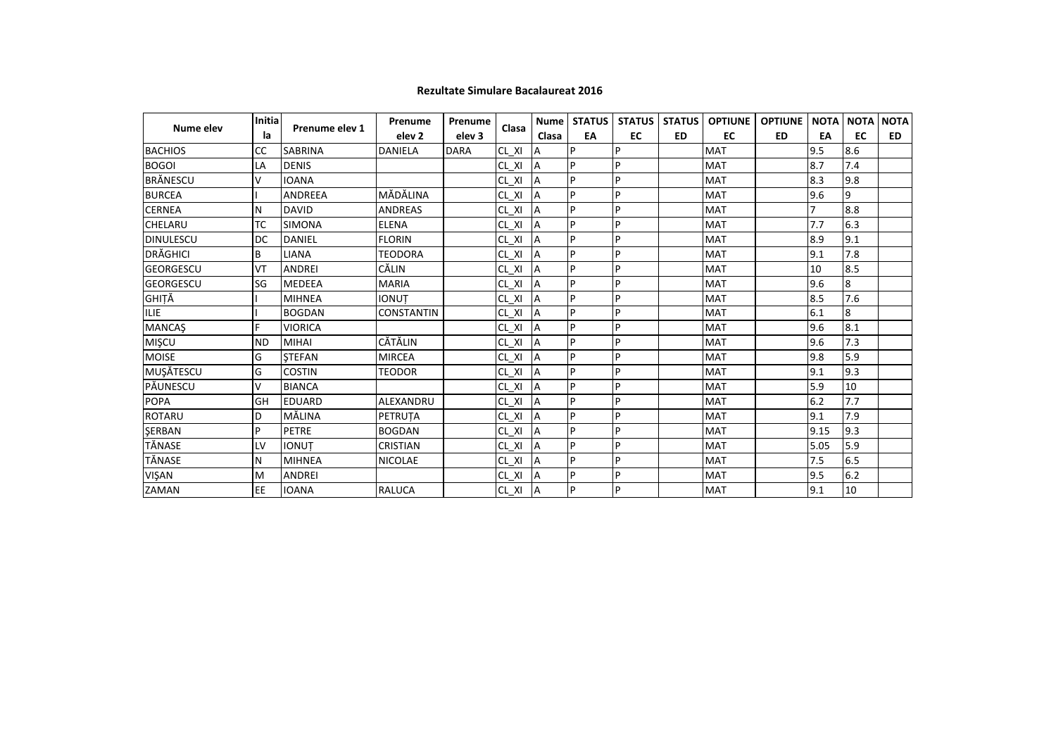|                  | Initia    |                | Prenume           | Prenume     |             | Nume l         | <b>STATUS</b> | <b>STATUS</b> | <b>STATUS</b> | <b>OPTIUNE</b> | <b>OPTIUNE</b> | <b>NOTA</b> | <b>NOTA</b> | <b>NOTA</b> |
|------------------|-----------|----------------|-------------------|-------------|-------------|----------------|---------------|---------------|---------------|----------------|----------------|-------------|-------------|-------------|
| Nume elev        | la        | Prenume elev 1 | elev <sub>2</sub> | elev 3      | Clasa       | Clasa          | EA            | EC            | <b>ED</b>     | EC             | <b>ED</b>      | EA          | EC          | <b>ED</b>   |
| <b>BACHIOS</b>   | <b>CC</b> | <b>SABRINA</b> | <b>DANIELA</b>    | <b>DARA</b> | CL XI       | A              | P             | P             |               | <b>MAT</b>     |                | 9.5         | 8.6         |             |
| <b>BOGOI</b>     | LA        | <b>DENIS</b>   |                   |             | CL XI       | A              | P             | P             |               | <b>MAT</b>     |                | 8.7         | 7.4         |             |
| BRÅNESCU         | v         | <b>IOANA</b>   |                   |             | $CL_$ $XI$  | A              | P             | P             |               | <b>MAT</b>     |                | 8.3         | 9.8         |             |
| <b>BURCEA</b>    |           | <b>ANDREEA</b> | MĂDĂLINA          |             | CL XI       | $\overline{A}$ | p             | P             |               | <b>MAT</b>     |                | 9.6         | 9           |             |
| <b>CERNEA</b>    | N         | <b>DAVID</b>   | <b>ANDREAS</b>    |             | $CL_$ $XI$  | $\overline{A}$ | p             | P             |               | <b>MAT</b>     |                |             | 8.8         |             |
| <b>CHELARU</b>   | TC        | <b>SIMONA</b>  | <b>ELENA</b>      |             | $CL_$ $XI$  | $\overline{A}$ | P             | P.            |               | <b>MAT</b>     |                | 7.7         | 6.3         |             |
| <b>DINULESCU</b> | DC        | <b>DANIEL</b>  | <b>FLORIN</b>     |             | $CL_$ $XI$  | A              | P             | P             |               | <b>MAT</b>     |                | 8.9         | 9.1         |             |
| <b>DRĂGHICI</b>  | B         | <b>LIANA</b>   | <b>TEODORA</b>    |             | $CL_$ $XI$  | A              | P             | P             |               | <b>MAT</b>     |                | 9.1         | 7.8         |             |
| <b>GEORGESCU</b> | VT        | <b>ANDREI</b>  | CĂLIN             |             | $CL_XI$     | A              | P             | P             |               | <b>MAT</b>     |                | 10          | 8.5         |             |
| <b>GEORGESCU</b> | SG        | <b>MEDEEA</b>  | <b>MARIA</b>      |             | $CL_$ $XI$  | A              | P             | P             |               | <b>MAT</b>     |                | 9.6         | 8           |             |
| GHIȚĂ            |           | <b>MIHNEA</b>  | <b>IONUT</b>      |             | $CL_$ $XI$  | A              | p             | P             |               | <b>MAT</b>     |                | 8.5         | 7.6         |             |
| <b>ILIE</b>      |           | <b>BOGDAN</b>  | <b>CONSTANTIN</b> |             | CL XI       | $\overline{A}$ | P             | P             |               | <b>MAT</b>     |                | 6.1         | 8           |             |
| <b>MANCAŞ</b>    | F.        | <b>VIORICA</b> |                   |             | $CL_$ $XI$  | $\overline{A}$ | P             | P             |               | <b>MAT</b>     |                | 9.6         | 8.1         |             |
| MIŞCU            | <b>ND</b> | <b>MIHAI</b>   | CĂTĂLIN           |             | $CL_$ $XI$  | $\overline{A}$ | p             | P             |               | <b>MAT</b>     |                | 9.6         | 7.3         |             |
| <b>MOISE</b>     | G         | <b>STEFAN</b>  | <b>MIRCEA</b>     |             | $CL_XI$     | $\overline{A}$ | p             | P             |               | <b>MAT</b>     |                | 9.8         | 5.9         |             |
| MUŞĂTESCU        | G         | <b>COSTIN</b>  | <b>TEODOR</b>     |             | $CL_$ $XI$  | A              | P             | P             |               | <b>MAT</b>     |                | 9.1         | 9.3         |             |
| PĂUNESCU         | v         | <b>BIANCA</b>  |                   |             | $CL_$ XI    | A              | P             | P             |               | <b>MAT</b>     |                | 5.9         | 10          |             |
| <b>POPA</b>      | GH        | <b>EDUARD</b>  | ALEXANDRU         |             | $CL_$ $XI$  | A              | P             | P             |               | <b>MAT</b>     |                | 6.2         | 7.7         |             |
| ROTARU           | D         | MĂLINA         | PETRUTA           |             | $CL_$ $XI$  | $\overline{A}$ | p             | P             |               | <b>MAT</b>     |                | 9.1         | 7.9         |             |
| ŞERBAN           | P         | <b>PETRE</b>   | <b>BOGDAN</b>     |             | CL XI       | $\overline{A}$ | p             | P             |               | <b>MAT</b>     |                | 9.15        | 9.3         |             |
| TĂNASE           | LV        | <b>IONUT</b>   | <b>CRISTIAN</b>   |             | $CL_$ $XI$  | $\overline{A}$ | P             | P             |               | <b>MAT</b>     |                | 5.05        | 5.9         |             |
| TĂNASE           | N         | <b>MIHNEA</b>  | NICOLAE           |             | $CL_$ $XI$  |                | p             | P             |               | <b>MAT</b>     |                | 7.5         | 6.5         |             |
| VIŞAN            | M         | <b>ANDREI</b>  |                   |             | $CL_ XI$    | A              | P             | P             |               | <b>MAT</b>     |                | 9.5         | 6.2         |             |
| ZAMAN            | EE        | <b>IOANA</b>   | <b>RALUCA</b>     |             | $CL_$ $XI_$ | A              | P             | P             |               | <b>MAT</b>     |                | 9.1         | 10          |             |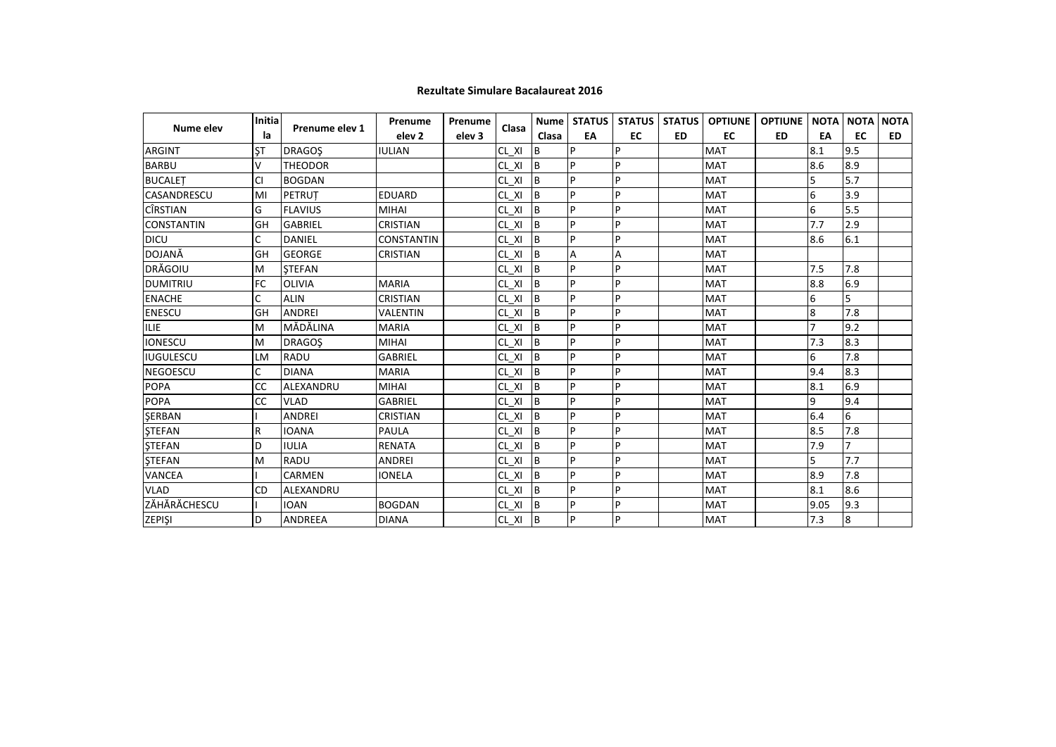|                    | Initia    |                | Prenume           | Prenume           | Clasa      |           | Nume STATUS | <b>STATUS</b> | <b>STATUS</b> | <b>OPTIUNE</b> | <b>OPTIUNE</b> | <b>NOTA</b> | <b>NOTA</b> | <b>NOTA</b> |
|--------------------|-----------|----------------|-------------------|-------------------|------------|-----------|-------------|---------------|---------------|----------------|----------------|-------------|-------------|-------------|
| Nume elev          | la        | Prenume elev 1 | elev <sub>2</sub> | elev <sub>3</sub> |            | Clasa     | EA          | EC            | <b>ED</b>     | EC             | <b>ED</b>      | EA          | <b>EC</b>   | <b>ED</b>   |
| <b>ARGINT</b>      | ŞT        | <b>DRAGOS</b>  | <b>IULIAN</b>     |                   | CL XI      | B         | P           | P             |               | <b>MAT</b>     |                | 8.1         | 9.5         |             |
| <b>BARBU</b>       | v         | <b>THEODOR</b> |                   |                   | CL XI      | Iв        | P           | P             |               | <b>MAT</b>     |                | 8.6         | 8.9         |             |
| <b>BUCALET</b>     | <b>CI</b> | <b>BOGDAN</b>  |                   |                   | CL XI      | <b>B</b>  | p           | P             |               | <b>MAT</b>     |                | 5           | 5.7         |             |
| <b>CASANDRESCU</b> | MI        | <b>PETRUT</b>  | <b>EDUARD</b>     |                   | CL XI      | Iв        | P           | P             |               | <b>MAT</b>     |                | 6           | 3.9         |             |
| <b>CÎRSTIAN</b>    | G         | <b>FLAVIUS</b> | <b>MIHAI</b>      |                   | CL XI      | <b>B</b>  | P           | P             |               | <b>MAT</b>     |                | 6           | 5.5         |             |
| <b>CONSTANTIN</b>  | GH        | <b>GABRIEL</b> | <b>CRISTIAN</b>   |                   | CL XI      | <b>IB</b> | P           | P             |               | <b>MAT</b>     |                | 7.7         | 2.9         |             |
| <b>DICU</b>        | C         | DANIEL         | <b>CONSTANTIN</b> |                   | $CL_$ $XI$ | <b>B</b>  | P           | P             |               | <b>MAT</b>     |                | 8.6         | 6.1         |             |
| <b>DOJANĂ</b>      | GH        | <b>GEORGE</b>  | <b>CRISTIAN</b>   |                   | CL XI      | Iв        | A           | A             |               | <b>MAT</b>     |                |             |             |             |
| DRĂGOIU            | M         | <b>STEFAN</b>  |                   |                   | CL XI      | B         | p           | P             |               | <b>MAT</b>     |                | 7.5         | 7.8         |             |
| <b>DUMITRIU</b>    | FC        | <b>OLIVIA</b>  | <b>MARIA</b>      |                   | CL XI      | <b>B</b>  | P           | P             |               | <b>MAT</b>     |                | 8.8         | 6.9         |             |
| <b>ENACHE</b>      | C         | <b>ALIN</b>    | <b>CRISTIAN</b>   |                   | CL XI      | <b>B</b>  | P           | P             |               | <b>MAT</b>     |                | 6           | 5           |             |
| <b>ENESCU</b>      | GH        | <b>ANDREI</b>  | <b>VALENTIN</b>   |                   | CL XI      | <b>B</b>  | p           | P             |               | <b>MAT</b>     |                | 8           | 7.8         |             |
| <b>ILIE</b>        | M         | MĂDĂLINA       | <b>MARIA</b>      |                   | CL XI      | Iв        | p           | P             |               | <b>MAT</b>     |                |             | 9.2         |             |
| <b>IONESCU</b>     | M         | <b>DRAGOS</b>  | <b>MIHAI</b>      |                   | CL XI      | <b>B</b>  | P           | P             |               | <b>MAT</b>     |                | 7.3         | 8.3         |             |
| <b>IUGULESCU</b>   | LM        | RADU           | <b>GABRIEL</b>    |                   | CL XI      | <b>B</b>  | p           | P             |               | <b>MAT</b>     |                | 6           | 7.8         |             |
| <b>NEGOESCU</b>    | C         | <b>DIANA</b>   | <b>MARIA</b>      |                   | CL XI      | Iв        | P           | P             |               | <b>MAT</b>     |                | 9.4         | 8.3         |             |
| <b>POPA</b>        | CC        | ALEXANDRU      | <b>MIHAI</b>      |                   | CL XI      | <b>B</b>  | P           | P             |               | <b>MAT</b>     |                | 8.1         | 6.9         |             |
| <b>POPA</b>        | <b>CC</b> | <b>VLAD</b>    | <b>GABRIEL</b>    |                   | CL XI      | <b>B</b>  | P           | P             |               | <b>MAT</b>     |                | 9           | 9.4         |             |
| <b>SERBAN</b>      |           | <b>ANDREI</b>  | <b>CRISTIAN</b>   |                   | CL XI      | Iв        | p           | P             |               | <b>MAT</b>     |                | 6.4         | 6           |             |
| <b>STEFAN</b>      | R         | <b>IOANA</b>   | PAULA             |                   | CL XI      | <b>B</b>  | P           | P             |               | <b>MAT</b>     |                | 8.5         | 7.8         |             |
| <b>STEFAN</b>      | D         | <b>IULIA</b>   | <b>RENATA</b>     |                   | $CL_$ $XI$ | <b>B</b>  | p           | P             |               | <b>MAT</b>     |                | 7.9         | 7           |             |
| <b>STEFAN</b>      | M         | <b>RADU</b>    | <b>ANDREI</b>     |                   | CL XI      | Iв        | p           | P             |               | <b>MAT</b>     |                | 5           | 7.7         |             |
| <b>VANCEA</b>      |           | <b>CARMEN</b>  | <b>IONELA</b>     |                   | CL XI      | <b>B</b>  | P           | P             |               | <b>MAT</b>     |                | 8.9         | 7.8         |             |
| <b>VLAD</b>        | <b>CD</b> | ALEXANDRU      |                   |                   | CL XI      | <b>IB</b> | p           | P             |               | <b>MAT</b>     |                | 8.1         | 8.6         |             |
| ZĂHĂRĂCHESCU       |           | <b>IOAN</b>    | <b>BOGDAN</b>     |                   | CL XI      | <b>B</b>  | P           | P             |               | <b>MAT</b>     |                | 9.05        | 9.3         |             |
| <b>ZEPISI</b>      | D         | <b>ANDREEA</b> | <b>DIANA</b>      |                   | $CL_XI$ B  |           | P           | l P           |               | <b>MAT</b>     |                | 7.3         | 8           |             |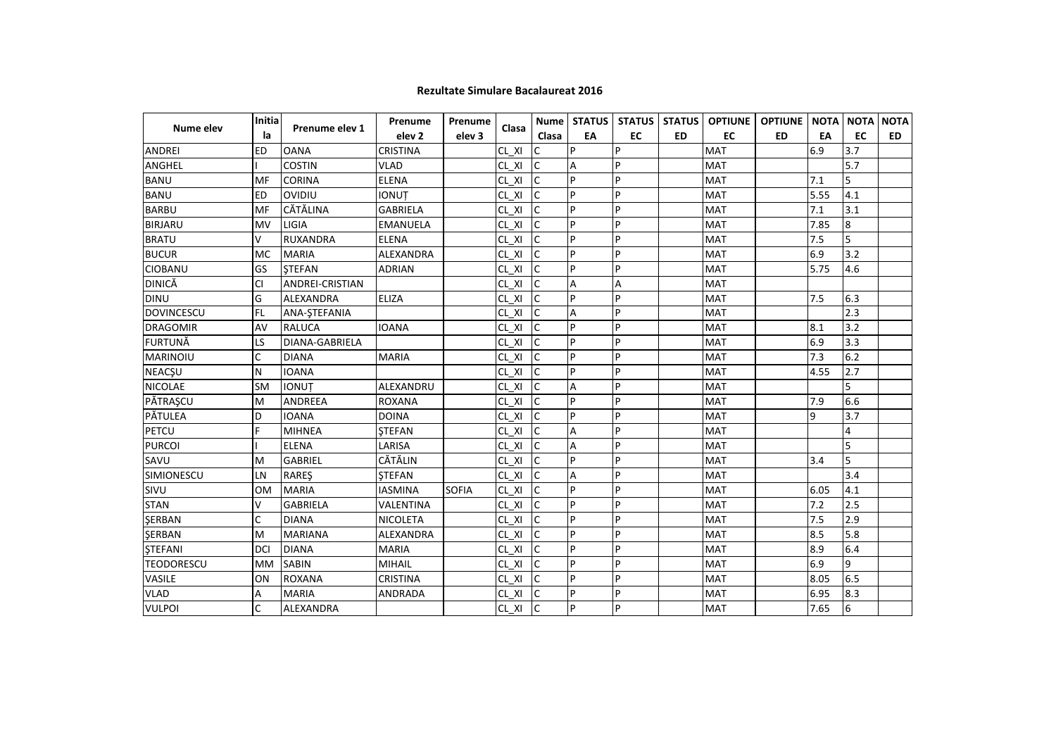| Nume elev         | <b>Initia</b> | Prenume elev 1        | Prenume           | Prenume           | Clasa       |              |    |    |           |            | Nume   STATUS   STATUS   STATUS   OPTIUNE   OPTIUNE   NOTA |      | <b>NOTA</b> | <b>NOTA</b> |
|-------------------|---------------|-----------------------|-------------------|-------------------|-------------|--------------|----|----|-----------|------------|------------------------------------------------------------|------|-------------|-------------|
|                   | la            |                       | elev <sub>2</sub> | elev <sub>3</sub> |             | Clasa        | EA | EC | <b>ED</b> | <b>EC</b>  | <b>ED</b>                                                  | EA   | <b>EC</b>   | <b>ED</b>   |
| <b>ANDREI</b>     | ED            | <b>OANA</b>           | <b>CRISTINA</b>   |                   | CL XI       | C            | P  | P  |           | <b>MAT</b> |                                                            | 6.9  | 3.7         |             |
| <b>ANGHEL</b>     |               | <b>COSTIN</b>         | <b>VLAD</b>       |                   | CL XI       | <b>C</b>     | Α  | P  |           | <b>MAT</b> |                                                            |      | 5.7         |             |
| <b>BANU</b>       | MF            | <b>CORINA</b>         | <b>ELENA</b>      |                   | CL XI       | Ic           | P  | P  |           | <b>MAT</b> |                                                            | 7.1  | 5           |             |
| <b>BANU</b>       | <b>ED</b>     | OVIDIU                | <b>IONUT</b>      |                   | CL XI       |              | P  | P  |           | <b>MAT</b> |                                                            | 5.55 | 4.1         |             |
| <b>BARBU</b>      | MF            | <b>CĂTĂLINA</b>       | <b>GABRIELA</b>   |                   | CL XI       | $\mathsf{C}$ | P  | P  |           | <b>MAT</b> |                                                            | 7.1  | 3.1         |             |
| <b>BIRJARU</b>    | MV            | <b>LIGIA</b>          | <b>EMANUELA</b>   |                   | CL XI       | $\mathsf{C}$ | P  | P  |           | <b>MAT</b> |                                                            | 7.85 | 8           |             |
| <b>BRATU</b>      | v             | RUXANDRA              | <b>ELENA</b>      |                   | CL XI       | <b>C</b>     | P  | P  |           | <b>MAT</b> |                                                            | 7.5  | 5           |             |
| <b>BUCUR</b>      | MC            | <b>MARIA</b>          | ALEXANDRA         |                   | $CL_$ $XI$  | c            | P  | P  |           | <b>MAT</b> |                                                            | 6.9  | 3.2         |             |
| <b>CIOBANU</b>    | GS            | <b>STEFAN</b>         | <b>ADRIAN</b>     |                   | CL XI       | $\mathsf{C}$ | P  | P  |           | <b>MAT</b> |                                                            | 5.75 | 4.6         |             |
| DINICĂ            | <b>CI</b>     | ANDREI-CRISTIAN       |                   |                   | CL XI       | $\mathsf{C}$ | A  | A  |           | <b>MAT</b> |                                                            |      |             |             |
| <b>DINU</b>       | G             | <b>ALEXANDRA</b>      | ELIZA             |                   | CL XI       | $\mathsf{C}$ | P  | P  |           | <b>MAT</b> |                                                            | 7.5  | 6.3         |             |
| <b>DOVINCESCU</b> | FL            | ANA-ŞTEFANIA          |                   |                   | $CL_$ $XI$  | $\mathsf{C}$ | A  | P  |           | <b>MAT</b> |                                                            |      | 2.3         |             |
| <b>DRAGOMIR</b>   | AV            | <b>RALUCA</b>         | <b>IOANA</b>      |                   | CL XI       |              | P  | P  |           | <b>MAT</b> |                                                            | 8.1  | 3.2         |             |
| <b>FURTUNĂ</b>    | LS            | <b>DIANA-GABRIELA</b> |                   |                   | $CL_$ $XI$  |              | P  | P  |           | <b>MAT</b> |                                                            | 6.9  | 3.3         |             |
| <b>MARINOIU</b>   | C             | <b>DIANA</b>          | <b>MARIA</b>      |                   | CL XI       | C            | P  | P  |           | <b>MAT</b> |                                                            | 7.3  | 6.2         |             |
| <b>NEACŞU</b>     | N             | <b>IOANA</b>          |                   |                   | CL XI       | $\mathsf{C}$ | P  | P  |           | <b>MAT</b> |                                                            | 4.55 | 2.7         |             |
| <b>NICOLAE</b>    | <b>SM</b>     | <b>IONUT</b>          | ALEXANDRU         |                   | CL XI       | $\mathsf{C}$ | Α  | P  |           | <b>MAT</b> |                                                            |      | 5           |             |
| PĂTRAȘCU          | M             | ANDREEA               | <b>ROXANA</b>     |                   | $CL_$ $XI$  | lc           | P  | P  |           | <b>MAT</b> |                                                            | 7.9  | 6.6         |             |
| PĂTULEA           | D             | <b>IOANA</b>          | <b>DOINA</b>      |                   | CL XI       | $\mathsf{C}$ | P  | P  |           | <b>MAT</b> |                                                            | 9    | 3.7         |             |
| PETCU             | F             | <b>MIHNEA</b>         | <b>STEFAN</b>     |                   | CL XI       | $\mathsf{C}$ | A  | P  |           | <b>MAT</b> |                                                            |      | 4           |             |
| <b>PURCOI</b>     |               | <b>ELENA</b>          | LARISA            |                   | CL XI       | $\mathsf{C}$ | A  | P  |           | <b>MAT</b> |                                                            |      | 5           |             |
| SAVU              | M             | <b>GABRIEL</b>        | CĂTĂLIN           |                   | $CL_$ $XI$  |              | Þ  | P  |           | <b>MAT</b> |                                                            | 3.4  | 5           |             |
| SIMIONESCU        | LN            | RAREŞ                 | <b>ŞTEFAN</b>     |                   | CL XI       |              | A  | P  |           | <b>MAT</b> |                                                            |      | 3.4         |             |
| SIVU              | 0M            | <b>MARIA</b>          | <b>IASMINA</b>    | <b>SOFIA</b>      | CL XI       |              | P  | P  |           | <b>MAT</b> |                                                            | 6.05 | 4.1         |             |
| <b>STAN</b>       | v             | <b>GABRIELA</b>       | VALENTINA         |                   | CL XI       |              | P  | P  |           | <b>MAT</b> |                                                            | 7.2  | 2.5         |             |
| <b>ŞERBAN</b>     | C             | <b>DIANA</b>          | <b>NICOLETA</b>   |                   | CL XI       | $\mathsf{C}$ | P  | P  |           | <b>MAT</b> |                                                            | 7.5  | 2.9         |             |
| <b>ŞERBAN</b>     | M             | <b>MARIANA</b>        | ALEXANDRA         |                   | CL XI       | $\mathsf{C}$ | P  | P  |           | <b>MAT</b> |                                                            | 8.5  | 5.8         |             |
| <b>STEFANI</b>    | DCI           | <b>DIANA</b>          | <b>MARIA</b>      |                   | CL XI       | lc           | P  | P  |           | <b>MAT</b> |                                                            | 8.9  | 6.4         |             |
| <b>TEODORESCU</b> | <b>MM</b>     | <b>SABIN</b>          | <b>MIHAIL</b>     |                   | CL XI       | $\mathsf{C}$ | P  | P  |           | MAT        |                                                            | 6.9  | 9           |             |
| VASILE            | ON            | ROXANA                | <b>CRISTINA</b>   |                   | CL XI       | $\mathsf{C}$ | P  | P  |           | <b>MAT</b> |                                                            | 8.05 | 6.5         |             |
| <b>VLAD</b>       | А             | <b>MARIA</b>          | <b>ANDRADA</b>    |                   | $CL_$ $XI$  | $\mathsf{C}$ | P  | P  |           | <b>MAT</b> |                                                            | 6.95 | 8.3         |             |
| <b>VULPOI</b>     | C             | <b>ALEXANDRA</b>      |                   |                   | $CL_XI$ $C$ |              | P  | P  |           | <b>MAT</b> |                                                            | 7.65 | 6           |             |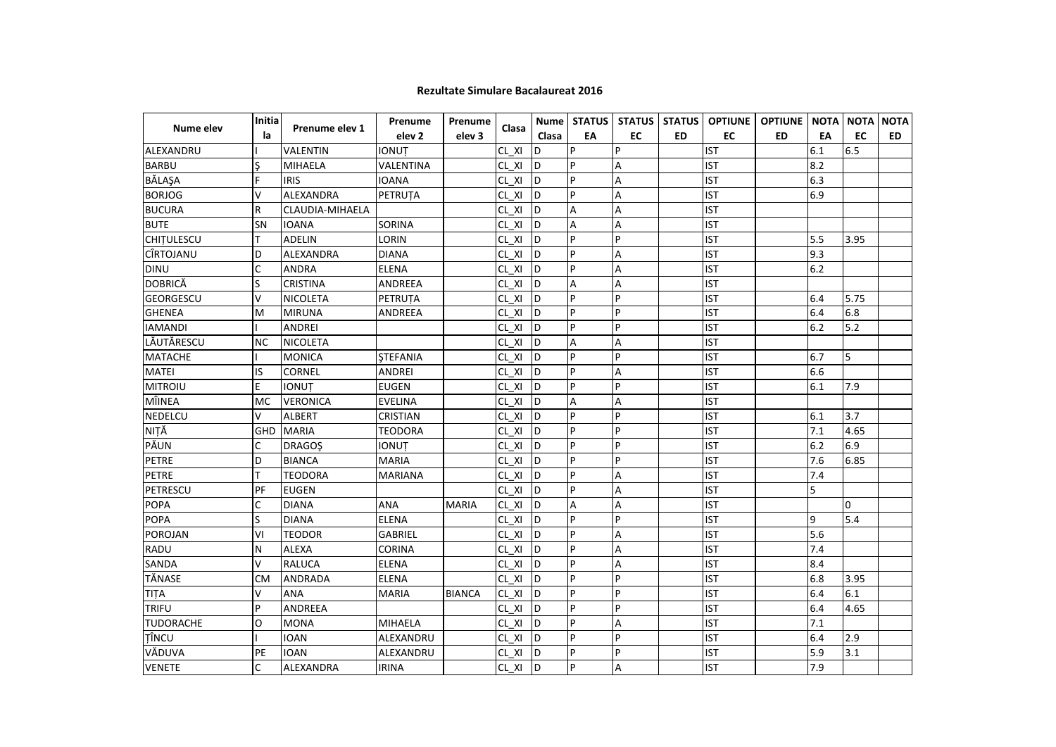|                   | <b>Initial</b> |                 | Prenume           | Prenume           |                 |           |                |           |           |            | Nume   STATUS   STATUS   STATUS   OPTIUNE   OPTIUNE   NOTA   NOTA |     |          | <b>NOTA</b> |
|-------------------|----------------|-----------------|-------------------|-------------------|-----------------|-----------|----------------|-----------|-----------|------------|-------------------------------------------------------------------|-----|----------|-------------|
| Nume elev         | la             | Prenume elev 1  | elev <sub>2</sub> | elev <sub>3</sub> | Clasa           | Clasa     | EA             | <b>EC</b> | <b>ED</b> | EC         | <b>ED</b>                                                         | EA  | EC       | <b>ED</b>   |
| ALEXANDRU         |                | <b>VALENTIN</b> | <b>IONUT</b>      |                   | CL XI           | D         | P              | P         |           | <b>IST</b> |                                                                   | 6.1 | 6.5      |             |
| <b>BARBU</b>      |                | <b>MIHAELA</b>  | VALENTINA         |                   | CL XI           | ID.       |                | A         |           | <b>IST</b> |                                                                   | 8.2 |          |             |
| BĂLAŞA            | F              | <b>IRIS</b>     | <b>IOANA</b>      |                   | $CL \times I$ D |           | P              | A         |           | <b>IST</b> |                                                                   | 6.3 |          |             |
| <b>BORJOG</b>     | v              | ALEXANDRA       | PETRUTA           |                   | CL XI           | lD.       | P              | A         |           | <b>IST</b> |                                                                   | 6.9 |          |             |
| <b>BUCURA</b>     | $\mathsf{R}$   | CLAUDIA-MIHAELA |                   |                   | CL XI           | <b>ID</b> | A              | A         |           | <b>IST</b> |                                                                   |     |          |             |
| <b>BUTE</b>       | SN             | <b>IOANA</b>    | SORINA            |                   | CL XI           | D         | A              | A         |           | <b>IST</b> |                                                                   |     |          |             |
| <b>CHITULESCU</b> | т              | <b>ADELIN</b>   | LORIN             |                   | CL XI           | D         | $\overline{P}$ | P         |           | <b>IST</b> |                                                                   | 5.5 | 3.95     |             |
| CÎRTOJANU         | D              | ALEXANDRA       | <b>DIANA</b>      |                   | CL XI           | D         | P              | A         |           | <b>IST</b> |                                                                   | 9.3 |          |             |
| <b>DINU</b>       | C              | <b>ANDRA</b>    | <b>ELENA</b>      |                   | CL XI           | <b>D</b>  | P              | A         |           | <b>IST</b> |                                                                   | 6.2 |          |             |
| <b>DOBRICĂ</b>    | S              | <b>CRISTINA</b> | ANDREEA           |                   | CL XI           | <b>D</b>  | A              | A         |           | <b>IST</b> |                                                                   |     |          |             |
| <b>GEORGESCU</b>  | $\vee$         | <b>NICOLETA</b> | PETRUȚA           |                   | $CL_$ $XI_$     | İD        | P              | P         |           | <b>IST</b> |                                                                   | 6.4 | 5.75     |             |
| <b>GHENEA</b>     | M              | <b>MIRUNA</b>   | ANDREEA           |                   | $CL_$ $XI$      | ld        | P              | P         |           | <b>IST</b> |                                                                   | 6.4 | 6.8      |             |
| <b>IAMANDI</b>    |                | ANDREI          |                   |                   | $CL_$ $XI$      | lD.       | P              | P         |           | <b>IST</b> |                                                                   | 6.2 | 5.2      |             |
| LĂUTĂRESCU        | <b>NC</b>      | <b>NICOLETA</b> |                   |                   | $CL_$ $XI$      | D         | Α              | A         |           | <b>IST</b> |                                                                   |     |          |             |
| <b>MATACHE</b>    |                | <b>MONICA</b>   | <b>STEFANIA</b>   |                   | CL XI           | lD.       | P              | P         |           | <b>IST</b> |                                                                   | 6.7 | 5        |             |
| <b>MATEI</b>      | IS             | <b>CORNEL</b>   | ANDREI            |                   | CL XI           | İD        | P              | A         |           | <b>IST</b> |                                                                   | 6.6 |          |             |
| <b>MITROIU</b>    | E              | <b>IONUT</b>    | <b>EUGEN</b>      |                   | CL XI           | İD        | P              | P         |           | <b>IST</b> |                                                                   | 6.1 | 7.9      |             |
| MÎINEA            | <b>MC</b>      | <b>VERONICA</b> | <b>EVELINA</b>    |                   | CL XI           | ld.       | A              | A         |           | <b>IST</b> |                                                                   |     |          |             |
| NEDELCU           | $\vee$         | <b>ALBERT</b>   | <b>CRISTIAN</b>   |                   | CL XI           | ID.       | <b>P</b>       | P         |           | <b>IST</b> |                                                                   | 6.1 | 3.7      |             |
| NIȚĂ              | <b>GHD</b>     | <b>MARIA</b>    | <b>TEODORA</b>    |                   | CL XI           | İD        | P              | P         |           | <b>IST</b> |                                                                   | 7.1 | 4.65     |             |
| PĂUN              | C              | <b>DRAGOS</b>   | <b>IONUT</b>      |                   | CL XI           | ID.       | P              | P         |           | <b>IST</b> |                                                                   | 6.2 | 6.9      |             |
| <b>PETRE</b>      | D              | <b>BIANCA</b>   | <b>MARIA</b>      |                   | CL XI           | ID.       | P              | P         |           | <b>IST</b> |                                                                   | 7.6 | 6.85     |             |
| <b>PETRE</b>      | T              | <b>TEODORA</b>  | <b>MARIANA</b>    |                   | CL XI           | ID.       | P              | A         |           | <b>IST</b> |                                                                   | 7.4 |          |             |
| PETRESCU          | PF             | <b>EUGEN</b>    |                   |                   | CL XI           | ID        | P              | A         |           | <b>IST</b> |                                                                   | 5   |          |             |
| <b>POPA</b>       | C              | <b>DIANA</b>    | ANA               | <b>MARIA</b>      | $CL_$ $XI_$     | ID        | А              | A         |           | <b>IST</b> |                                                                   |     | $\Omega$ |             |
| <b>POPA</b>       | S              | <b>DIANA</b>    | ELENA             |                   | CL XI           | ID        | P              | P         |           | <b>IST</b> |                                                                   | 9   | 5.4      |             |
| <b>POROJAN</b>    | VI             | <b>TEODOR</b>   | <b>GABRIEL</b>    |                   | CL XI           | ID        | P              | A         |           | <b>IST</b> |                                                                   | 5.6 |          |             |
| RADU              | N              | <b>ALEXA</b>    | <b>CORINA</b>     |                   | CL XI           | In        | P              | A         |           | <b>IST</b> |                                                                   | 7.4 |          |             |
| SANDA             | v              | <b>RALUCA</b>   | <b>ELENA</b>      |                   | CL XI           | ID.       | P              | A         |           | <b>IST</b> |                                                                   | 8.4 |          |             |
| TĂNASE            | <b>CM</b>      | ANDRADA         | <b>ELENA</b>      |                   | CL XI           | ١D        | P              | P         |           | <b>IST</b> |                                                                   | 6.8 | 3.95     |             |
| TIȚA              | V              | ANA             | <b>MARIA</b>      | <b>BIANCA</b>     | CL XI           | D         | P              | P         |           | <b>IST</b> |                                                                   | 6.4 | 6.1      |             |
| <b>TRIFU</b>      | P              | <b>ANDREEA</b>  |                   |                   | CL XI           | D         | P              | p         |           | <b>IST</b> |                                                                   | 6.4 | 4.65     |             |
| <b>TUDORACHE</b>  | O              | <b>MONA</b>     | MIHAELA           |                   | CL XI           | ID        | P              | A         |           | <b>IST</b> |                                                                   | 7.1 |          |             |
| TÎNCU             |                | <b>IOAN</b>     | ALEXANDRU         |                   | CL XI           | <b>ID</b> | P              | P         |           | <b>IST</b> |                                                                   | 6.4 | 2.9      |             |
| VĂDUVA            | PE             | <b>IOAN</b>     | ALEXANDRU         |                   | CL XI           | ID.       | P              | P         |           | <b>IST</b> |                                                                   | 5.9 | 3.1      |             |
| <b>VENETE</b>     | C              | ALEXANDRA       | <b>IRINA</b>      |                   | CL XI D         |           | $\overline{P}$ | A         |           | <b>IST</b> |                                                                   | 7.9 |          |             |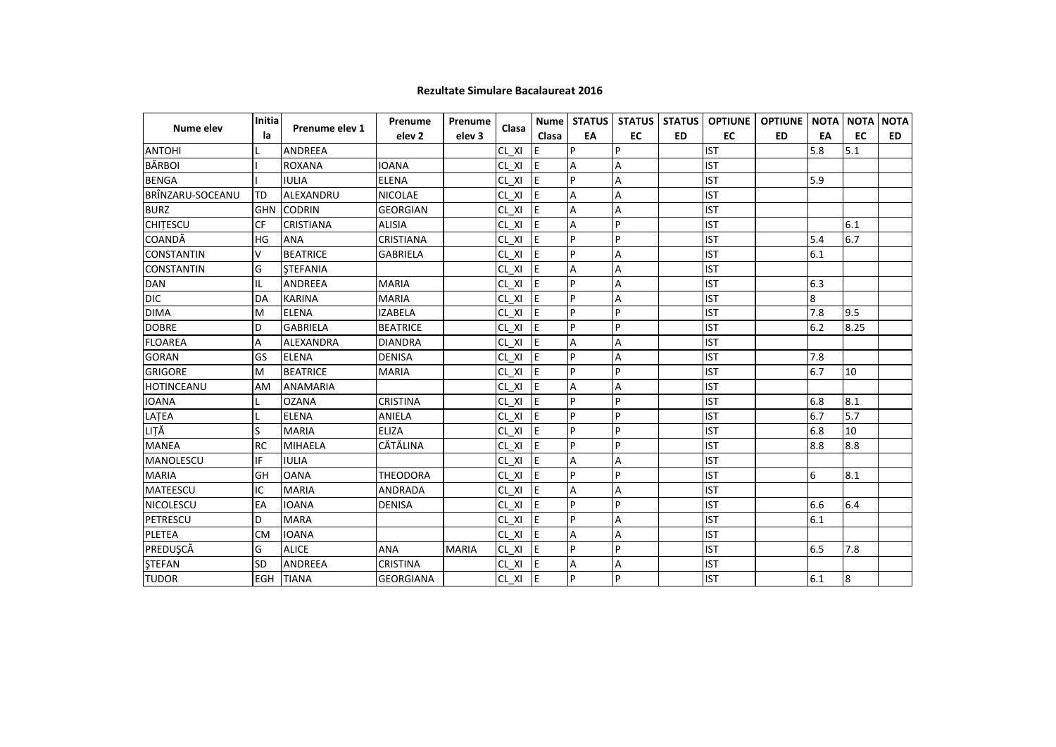| Nume elev         | Initia    | Prenume elev 1    | Prenume           | Prenume      | Clasa      |           |    |                |           |            | Nume   STATUS   STATUS   STATUS   OPTIUNE   OPTIUNE   NOTA   NOTA |     |                 | <b>NOTA</b> |
|-------------------|-----------|-------------------|-------------------|--------------|------------|-----------|----|----------------|-----------|------------|-------------------------------------------------------------------|-----|-----------------|-------------|
|                   | la        |                   | elev <sub>2</sub> | elev 3       |            | Clasa     | EA | EC             | <b>ED</b> | EC         | <b>ED</b>                                                         | EA  | EC              | <b>ED</b>   |
| <b>ANTOHI</b>     |           | <b>ANDREEA</b>    |                   |              | CL XI      | IE.       | P  | P              |           | <b>IST</b> |                                                                   | 5.8 | 5.1             |             |
| <b>BĂRBOI</b>     |           | <b>ROXANA</b>     | <b>IOANA</b>      |              | CL XI      | IE.       | A  | A              |           | <b>IST</b> |                                                                   |     |                 |             |
| <b>BENGA</b>      |           | <b>IULIA</b>      | <b>ELENA</b>      |              | CL XI      | E         | P  | $\overline{A}$ |           | <b>IST</b> |                                                                   | 5.9 |                 |             |
| BRÎNZARU-SOCEANU  | TD        | ALEXANDRU         | <b>NICOLAE</b>    |              | CL XI      | IE.       | А  | A              |           | <b>IST</b> |                                                                   |     |                 |             |
| <b>BURZ</b>       |           | <b>GHN CODRIN</b> | <b>GEORGIAN</b>   |              | CL XI      | IE.       | Α  | A              |           | <b>IST</b> |                                                                   |     |                 |             |
| <b>CHITESCU</b>   | <b>CF</b> | <b>CRISTIANA</b>  | <b>ALISIA</b>     |              | CL XI      | E         | Α  | P              |           | <b>IST</b> |                                                                   |     | 6.1             |             |
| COANDĂ            | HG        | <b>ANA</b>        | <b>CRISTIANA</b>  |              | $CL_$ $XI$ | ΙE        | P  | P              |           | <b>IST</b> |                                                                   | 5.4 | 6.7             |             |
| <b>CONSTANTIN</b> | V         | <b>BEATRICE</b>   | <b>GABRIELA</b>   |              | CL XI      | <b>IE</b> | P  | A              |           | <b>IST</b> |                                                                   | 6.1 |                 |             |
| <b>CONSTANTIN</b> | G         | <b>STEFANIA</b>   |                   |              | CL XI      | E         | Α  | А              |           | <b>IST</b> |                                                                   |     |                 |             |
| <b>DAN</b>        | IL        | ANDREEA           | <b>MARIA</b>      |              | CL XI      | IE.       | P  | А              |           | <b>IST</b> |                                                                   | 6.3 |                 |             |
| <b>DIC</b>        | DA        | <b>KARINA</b>     | <b>MARIA</b>      |              | CL XI      | IE.       | P  | A              |           | <b>IST</b> |                                                                   | 8   |                 |             |
| <b>DIMA</b>       | M         | <b>ELENA</b>      | <b>IZABELA</b>    |              | CL XI      | IE.       | P  | P              |           | <b>IST</b> |                                                                   | 7.8 | 9.5             |             |
| <b>DOBRE</b>      | D         | <b>GABRIELA</b>   | <b>BEATRICE</b>   |              | CL XI      | ΙE        | P  | P              |           | <b>IST</b> |                                                                   | 6.2 | 8.25            |             |
| <b>FLOAREA</b>    | A         | <b>ALEXANDRA</b>  | <b>DIANDRA</b>    |              | CL XI      | IE.       | Α  | A              |           | <b>IST</b> |                                                                   |     |                 |             |
| <b>GORAN</b>      | GS        | <b>ELENA</b>      | <b>DENISA</b>     |              | CL XI      | IE.       | P  | A              |           | <b>IST</b> |                                                                   | 7.8 |                 |             |
| <b>GRIGORE</b>    | M         | <b>BEATRICE</b>   | <b>MARIA</b>      |              | CL XI      | IE.       | P  | P              |           | <b>IST</b> |                                                                   | 6.7 | 10              |             |
| HOTINCEANU        | AM        | <b>ANAMARIA</b>   |                   |              | CL XI      | IE.       | Α  | А              |           | <b>IST</b> |                                                                   |     |                 |             |
| <b>IOANA</b>      |           | <b>OZANA</b>      | <b>CRISTINA</b>   |              | CL XI      | E         | P  | P              |           | <b>IST</b> |                                                                   | 6.8 | 8.1             |             |
| LATEA             |           | <b>ELENA</b>      | ANIELA            |              | CL XI      | <b>IE</b> | P  | P              |           | <b>IST</b> |                                                                   | 6.7 | 5.7             |             |
| LIȚĂ              | S         | <b>MARIA</b>      | <b>ELIZA</b>      |              | CL XI      | IE        | P  | P              |           | <b>IST</b> |                                                                   | 6.8 | 10              |             |
| <b>MANEA</b>      | <b>RC</b> | <b>MIHAELA</b>    | CĂTĂLINA          |              | CL XI      | IE.       | P  | P              |           | <b>IST</b> |                                                                   | 8.8 | 8.8             |             |
| <b>MANOLESCU</b>  | IF        | <b>IULIA</b>      |                   |              | CL XI      | IE.       | A  | A              |           | <b>IST</b> |                                                                   |     |                 |             |
| <b>MARIA</b>      | GH        | <b>OANA</b>       | <b>THEODORA</b>   |              | CL XI      | IE.       | P  | P              |           | <b>IST</b> |                                                                   | 6   | 8.1             |             |
| MATEESCU          | IC        | <b>MARIA</b>      | ANDRADA           |              | CL XI      | IE.       | А  | А              |           | <b>IST</b> |                                                                   |     |                 |             |
| NICOLESCU         | EA        | <b>IOANA</b>      | <b>DENISA</b>     |              | CL XI      | ΙE        | P  | P              |           | <b>IST</b> |                                                                   | 6.6 | 6.4             |             |
| <b>PETRESCU</b>   | D         | <b>MARA</b>       |                   |              | CL XI      | IE        | P  | A              |           | <b>IST</b> |                                                                   | 6.1 |                 |             |
| <b>PLETEA</b>     | <b>CM</b> | <b>IOANA</b>      |                   |              | CL XI      | IE.       | Α  | A              |           | <b>IST</b> |                                                                   |     |                 |             |
| PREDUŞCĂ          | G         | <b>ALICE</b>      | ANA               | <b>MARIA</b> | $CL_$ $XI$ | E         | P  | P              |           | <b>IST</b> |                                                                   | 6.5 | 7.8             |             |
| <b>STEFAN</b>     | <b>SD</b> | ANDREEA           | <b>CRISTINA</b>   |              | CL XI      | IE.       | Α  | A              |           | <b>IST</b> |                                                                   |     |                 |             |
| <b>TUDOR</b>      |           | EGH TIANA         | <b>GEORGIANA</b>  |              | CL XI E    |           | P  | P              |           | <b>IST</b> |                                                                   | 6.1 | $8\phantom{.0}$ |             |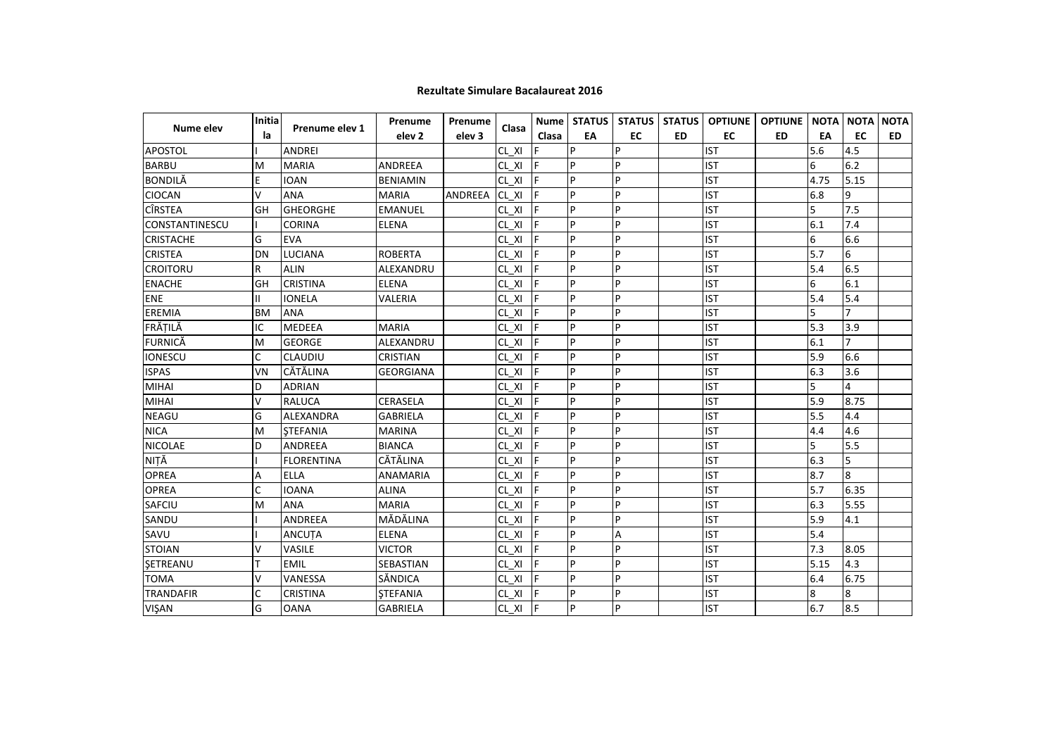|                       | <b>Initia</b> | Prenume elev 1    | Prenume           | Prenume |                 |           |          |           |           |            | Nume   STATUS   STATUS   STATUS   OPTIUNE   OPTIUNE   NOTA   NOTA |      |                | <b>NOTA</b> |
|-----------------------|---------------|-------------------|-------------------|---------|-----------------|-----------|----------|-----------|-----------|------------|-------------------------------------------------------------------|------|----------------|-------------|
| Nume elev             | la            |                   | elev <sub>2</sub> | elev 3  | Clasa           | Clasa     | EA       | <b>EC</b> | <b>ED</b> | EC         | <b>ED</b>                                                         | EA   | EC             | ED.         |
| <b>APOSTOL</b>        |               | <b>ANDREI</b>     |                   |         | CL XI           |           | <b>P</b> | l p       |           | <b>IST</b> |                                                                   | 5.6  | 4.5            |             |
| <b>BARBU</b>          | M             | <b>MARIA</b>      | ANDREEA           |         | CL XI F         |           | p        | P         |           | <b>IST</b> |                                                                   | 6    | 6.2            |             |
| <b>BONDILĂ</b>        | E             | <b>IOAN</b>       | <b>BENIAMIN</b>   |         | CL XI F         |           | p        | P         |           | <b>IST</b> |                                                                   | 4.75 | 5.15           |             |
| <b>CIOCAN</b>         | v             | <b>ANA</b>        | <b>MARIA</b>      | ANDREEA | CL XI F         |           | P        | P         |           | <b>IST</b> |                                                                   | 6.8  | 9              |             |
| <b>CÎRSTEA</b>        | GH            | <b>GHEORGHE</b>   | <b>EMANUEL</b>    |         | CL XI           | I۴        | P        | P         |           | <b>IST</b> |                                                                   | 5    | 7.5            |             |
| <b>CONSTANTINESCU</b> |               | <b>CORINA</b>     | <b>ELENA</b>      |         | CL XI           | IF        | P        | P         |           | <b>IST</b> |                                                                   | 6.1  | 7.4            |             |
| <b>CRISTACHE</b>      | G             | <b>EVA</b>        |                   |         | $CL \times I$ F |           | P        | P         |           | <b>IST</b> |                                                                   | 6    | 6.6            |             |
| <b>CRISTEA</b>        | DN            | <b>LUCIANA</b>    | <b>ROBERTA</b>    |         | CL XI F         |           | p        | P         |           | <b>IST</b> |                                                                   | 5.7  | 6              |             |
| <b>CROITORU</b>       | R             | <b>ALIN</b>       | ALEXANDRU         |         | $CL XI$ F       |           | P        | P         |           | <b>IST</b> |                                                                   | 5.4  | 6.5            |             |
| <b>ENACHE</b>         | GH            | <b>CRISTINA</b>   | <b>ELENA</b>      |         | CL XI           | lF.       | P        | P         |           | <b>IST</b> |                                                                   | 6    | 6.1            |             |
| <b>ENE</b>            | Ш             | <b>IONELA</b>     | VALERIA           |         | CL XI           | lF.       | P        | P         |           | <b>IST</b> |                                                                   | 5.4  | 5.4            |             |
| EREMIA                | <b>BM</b>     | <b>ANA</b>        |                   |         | CL XI           | IF.       | P        | P         |           | <b>IST</b> |                                                                   | 5    | $\overline{7}$ |             |
| FRĂȚILĂ               | IС            | <b>MEDEEA</b>     | <b>MARIA</b>      |         | CL XI           |           | p        | P         |           | <b>IST</b> |                                                                   | 5.3  | 3.9            |             |
| <b>FURNICĂ</b>        | M             | <b>GEORGE</b>     | ALEXANDRU         |         | CL XI           | -lF       | P        | P         |           | <b>IST</b> |                                                                   | 6.1  | $\overline{7}$ |             |
| <b>IONESCU</b>        | C             | <b>CLAUDIU</b>    | <b>CRISTIAN</b>   |         | CL XI           | IF.       | p        | P         |           | <b>IST</b> |                                                                   | 5.9  | 6.6            |             |
| <b>ISPAS</b>          | VN            | <b>CĂTĂLINA</b>   | <b>GEORGIANA</b>  |         | CL XI           | IF.       | P        | P         |           | <b>IST</b> |                                                                   | 6.3  | 3.6            |             |
| <b>MIHAI</b>          | D             | <b>ADRIAN</b>     |                   |         | $CL XI$ F       |           | P        | P         |           | <b>IST</b> |                                                                   | 5    | 4              |             |
| <b>MIHAI</b>          | V             | <b>RALUCA</b>     | <b>CERASELA</b>   |         | CL XI           | <b>IF</b> | P        | P         |           | <b>IST</b> |                                                                   | 5.9  | 8.75           |             |
| <b>NEAGU</b>          | G             | ALEXANDRA         | <b>GABRIELA</b>   |         | CL XI           | IF.       | P        | P         |           | <b>IST</b> |                                                                   | 5.5  | 4.4            |             |
| <b>NICA</b>           | м             | <b>STEFANIA</b>   | <b>MARINA</b>     |         | CL XI           | IF.       | P        | P         |           | <b>IST</b> |                                                                   | 4.4  | 4.6            |             |
| <b>NICOLAE</b>        | D             | <b>ANDREEA</b>    | <b>BIANCA</b>     |         | CL XI           | F         | P        | P         |           | <b>IST</b> |                                                                   | 5    | 5.5            |             |
| NIȚĂ                  |               | <b>FLORENTINA</b> | <b>CĂTĂLINA</b>   |         | CL XI           | IF.       | P        | P         |           | <b>IST</b> |                                                                   | 6.3  | 5              |             |
| <b>OPREA</b>          | А             | <b>ELLA</b>       | <b>ANAMARIA</b>   |         | CL XI           |           | p        | P         |           | <b>IST</b> |                                                                   | 8.7  | 8              |             |
| <b>OPREA</b>          | C             | <b>IOANA</b>      | <b>ALINA</b>      |         | CL XI           | IF        | P        | P         |           | <b>IST</b> |                                                                   | 5.7  | 6.35           |             |
| <b>SAFCIU</b>         | M             | <b>ANA</b>        | <b>MARIA</b>      |         | CL XI           | F         | p        | P         |           | <b>IST</b> |                                                                   | 6.3  | 5.55           |             |
| SANDU                 |               | <b>ANDREEA</b>    | MĂDĂLINA          |         | CL XI           | IF.       | P        | P         |           | <b>IST</b> |                                                                   | 5.9  | 4.1            |             |
| SAVU                  |               | <b>ANCUTA</b>     | <b>ELENA</b>      |         | $CL XI$ F       |           | P        | A         |           | <b>IST</b> |                                                                   | 5.4  |                |             |
| <b>STOIAN</b>         | v             | <b>VASILE</b>     | <b>VICTOR</b>     |         | CL XI           | <b>IF</b> | P        | P         |           | <b>IST</b> |                                                                   | 7.3  | 8.05           |             |
| SETREANU              | т             | <b>EMIL</b>       | SEBASTIAN         |         | CL XI           | IF.       | P        | P         |           | <b>IST</b> |                                                                   | 5.15 | 4.3            |             |
| <b>TOMA</b>           | v             | VANESSA           | SĂNDICA           |         | $CL_$ $XI_$     | IF.       | p        | P         |           | <b>IST</b> |                                                                   | 6.4  | 6.75           |             |
| <b>TRANDAFIR</b>      | C             | <b>CRISTINA</b>   | <b>ŞTEFANIA</b>   |         | CL XI           | lF.       | P        | P         |           | <b>IST</b> |                                                                   | 8    | 8              |             |
| <b>VISAN</b>          | G             | <b>OANA</b>       | <b>GABRIELA</b>   |         | $CL_XI_F$       |           | P        | P         |           | <b>IST</b> |                                                                   | 6.7  | 8.5            |             |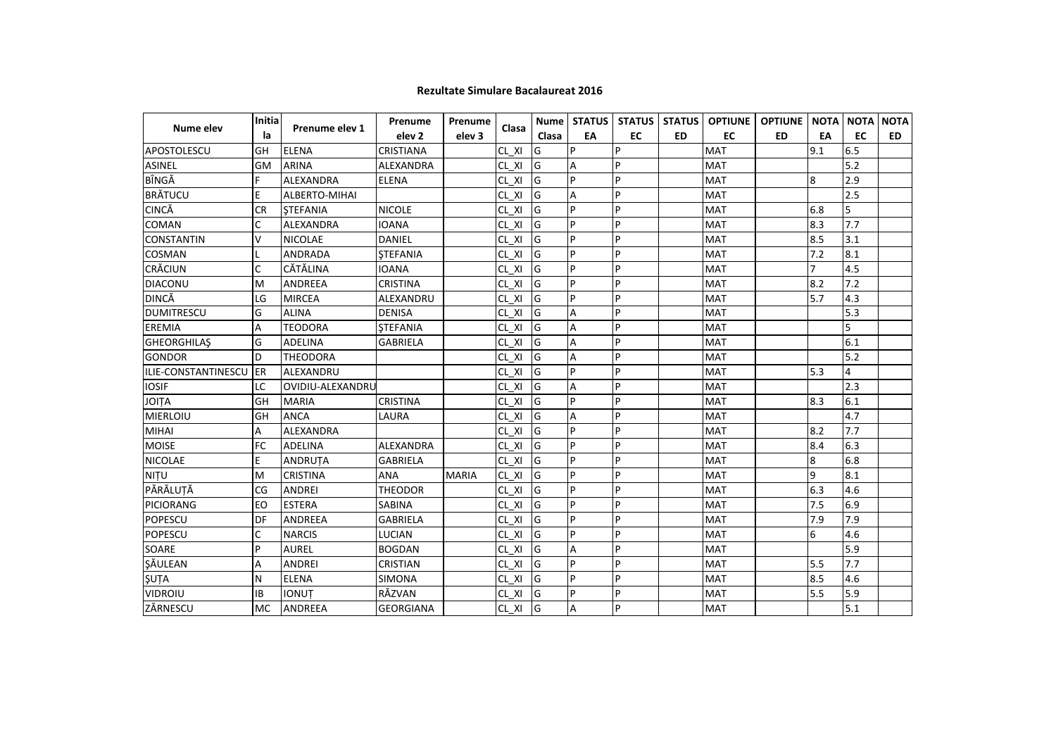|                            | <b>Initial</b> |                  | Prenume                | Prenume           |             |       |    |           |           |            | Nume   STATUS   STATUS   STATUS   OPTIUNE   OPTIUNE   NOTA   NOTA |     |     | <b>NOTA</b> |
|----------------------------|----------------|------------------|------------------------|-------------------|-------------|-------|----|-----------|-----------|------------|-------------------------------------------------------------------|-----|-----|-------------|
| Nume elev                  | la             | Prenume elev 1   | elev <sub>2</sub>      | elev <sub>3</sub> | Clasa       | Clasa | EA | <b>EC</b> | <b>ED</b> | <b>EC</b>  | <b>ED</b>                                                         | EA  | EC  | ED.         |
| APOSTOLESCU                | GH             | <b>ELENA</b>     | <b>CRISTIANA</b>       |                   | CL XI       | G     | P  | P         |           | <b>MAT</b> |                                                                   | 9.1 | 6.5 |             |
| <b>ASINEL</b>              | <b>GM</b>      | <b>ARINA</b>     | ALEXANDRA              |                   | CL XI       | IG    | A  | P         |           | <b>MAT</b> |                                                                   |     | 5.2 |             |
| BÎNGĂ                      | F              | ALEXANDRA        | <b>ELENA</b>           |                   | CL XI       | lG    | p  | P         |           | <b>MAT</b> |                                                                   | 8   | 2.9 |             |
| <b>BRÄTUCU</b>             | E              | ALBERTO-MIHAI    |                        |                   | CL XI       | G     | Α  | P         |           | <b>MAT</b> |                                                                   |     | 2.5 |             |
| <b>CINCĂ</b>               | <b>CR</b>      | <b>STEFANIA</b>  | <b>NICOLE</b>          |                   | CL XI       | G     | P  | P         |           | <b>MAT</b> |                                                                   | 6.8 | 5   |             |
| <b>COMAN</b>               | C              | ALEXANDRA        | <b>IOANA</b>           |                   | $CL_$ $XI_$ | G     | P  | P         |           | <b>MAT</b> |                                                                   | 8.3 | 7.7 |             |
| <b>CONSTANTIN</b>          | v              | <b>NICOLAE</b>   | DANIEL                 |                   | CL XI       | IG    | P  | P         |           | <b>MAT</b> |                                                                   | 8.5 | 3.1 |             |
| <b>COSMAN</b>              |                | ANDRADA          | <b>STEFANIA</b>        |                   | CL XI       | lG    | p  | P         |           | <b>MAT</b> |                                                                   | 7.2 | 8.1 |             |
| <b>CRĂCIUN</b>             | C              | CĂTĂLINA         | <b>IOANA</b>           |                   | CL XI       | lG    | P  | P         |           | <b>MAT</b> |                                                                   |     | 4.5 |             |
| <b>DIACONU</b>             | M              | <b>ANDREEA</b>   | <b>CRISTINA</b>        |                   | $CL_$ $XI$  | G     | P  | P         |           | <b>MAT</b> |                                                                   | 8.2 | 7.2 |             |
| <b>DINCĂ</b>               | LG             | <b>MIRCEA</b>    | ALEXANDRU              |                   | CL XI       | G     | P  | P         |           | <b>MAT</b> |                                                                   | 5.7 | 4.3 |             |
| <b>DUMITRESCU</b>          | G              | <b>ALINA</b>     | <b>DENISA</b>          |                   | CL XI       | lG    | A  | P         |           | <b>MAT</b> |                                                                   |     | 5.3 |             |
| <b>EREMIA</b>              | А              | <b>TEODORA</b>   | <b><i>STEFANIA</i></b> |                   | CL XI       | G     | A  | P         |           | <b>MAT</b> |                                                                   |     | 5   |             |
| <b>GHEORGHILAS</b>         | G              | ADELINA          | <b>GABRIELA</b>        |                   | CL XI       | G     | А  | P         |           | <b>MAT</b> |                                                                   |     | 6.1 |             |
| <b>GONDOR</b>              | D              | <b>THEODORA</b>  |                        |                   | CL XI       | G     | A  | P         |           | <b>MAT</b> |                                                                   |     | 5.2 |             |
| <b>ILIE-CONSTANTINESCU</b> | ER             | ALEXANDRU        |                        |                   | CL XI       | G     | P  | P         |           | <b>MAT</b> |                                                                   | 5.3 | 4   |             |
| <b>IOSIF</b>               | LC             | OVIDIU-ALEXANDRU |                        |                   | CL XI       | lG    | A  | P         |           | <b>MAT</b> |                                                                   |     | 2.3 |             |
| <b>JOITA</b>               | GH             | <b>MARIA</b>     | <b>CRISTINA</b>        |                   | CL XI       | lG    | P  | P         |           | <b>MAT</b> |                                                                   | 8.3 | 6.1 |             |
| MIERLOIU                   | GH             | <b>ANCA</b>      | LAURA                  |                   | CL XI       | G     | А  | P         |           | <b>MAT</b> |                                                                   |     | 4.7 |             |
| <b>MIHAI</b>               | A              | <b>ALEXANDRA</b> |                        |                   | CL XI       | G     | P  | P         |           | <b>MAT</b> |                                                                   | 8.2 | 7.7 |             |
| <b>MOISE</b>               | <b>FC</b>      | ADELINA          | ALEXANDRA              |                   | $CL_$ $XI$  | G     | P  | P         |           | <b>MAT</b> |                                                                   | 8.4 | 6.3 |             |
| <b>NICOLAE</b>             | E.             | <b>ANDRUTA</b>   | <b>GABRIELA</b>        |                   | CL XI       | G     | P  | P         |           | <b>MAT</b> |                                                                   | 8   | 6.8 |             |
| <b>NITU</b>                | M              | <b>CRISTINA</b>  | <b>ANA</b>             | <b>MARIA</b>      | CL XI       | G     | p  | P         |           | <b>MAT</b> |                                                                   | 9   | 8.1 |             |
| PĂRĂLUȚĂ                   | CG             | <b>ANDREI</b>    | <b>THEODOR</b>         |                   | CL XI       | G     | P  | P         |           | <b>MAT</b> |                                                                   | 6.3 | 4.6 |             |
| PICIORANG                  | EO             | <b>ESTERA</b>    | <b>SABINA</b>          |                   | CL XI       | G     | p  | P         |           | <b>MAT</b> |                                                                   | 7.5 | 6.9 |             |
| <b>POPESCU</b>             | DF             | <b>ANDREEA</b>   | <b>GABRIELA</b>        |                   | CL XI       | G     | P  | P         |           | <b>MAT</b> |                                                                   | 7.9 | 7.9 |             |
| <b>POPESCU</b>             | C              | <b>NARCIS</b>    | <b>LUCIAN</b>          |                   | CL XI       | lG    | P  | P         |           | <b>MAT</b> |                                                                   | 6   | 4.6 |             |
| SOARE                      | P              | <b>AUREL</b>     | <b>BOGDAN</b>          |                   | CL XI       | lG    | A  | P         |           | <b>MAT</b> |                                                                   |     | 5.9 |             |
| ŞĂULEAN                    | A              | <b>ANDREI</b>    | <b>CRISTIAN</b>        |                   | CL XI       | G     | P  | P         |           | <b>MAT</b> |                                                                   | 5.5 | 7.7 |             |
| ŞUȚA                       | N              | <b>ELENA</b>     | <b>SIMONA</b>          |                   | CL XI       | G     | p  | P         |           | <b>MAT</b> |                                                                   | 8.5 | 4.6 |             |
| <b>VIDROIU</b>             | IB             | <b>IONUT</b>     | RĂZVAN                 |                   | CL XI       | lG    | P  | P         |           | <b>MAT</b> |                                                                   | 5.5 | 5.9 |             |
| ZĂRNESCU                   | МC             | ANDREEA          | <b>GEORGIANA</b>       |                   | $CL XI$ G   |       | A  | P         |           | <b>MAT</b> |                                                                   |     | 5.1 |             |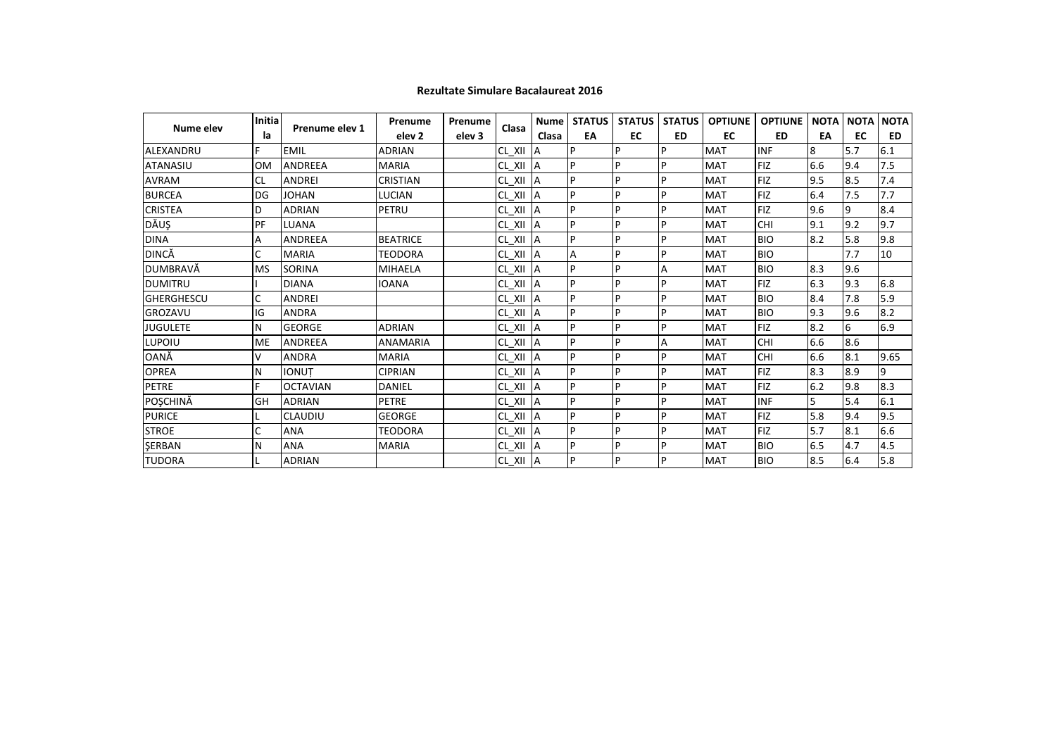| Nume elev         | <b>Initia</b> | Prenume elev 1  | Prenume           | Prenume           | Clasa       | <b>Nume</b> | <b>STATUS</b> | <b>STATUS</b> | <b>STATUS</b>  | <b>OPTIUNE</b> | <b>OPTIUNE</b> | <b>NOTA</b> | <b>NOTA</b> | <b>NOTA</b> |
|-------------------|---------------|-----------------|-------------------|-------------------|-------------|-------------|---------------|---------------|----------------|----------------|----------------|-------------|-------------|-------------|
|                   | la            |                 | elev <sub>2</sub> | elev <sub>3</sub> |             | Clasa       | EA            | EC            | <b>ED</b>      | EC             | ED             | EA          | EC          | ED          |
| ALEXANDRU         |               | <b>EMIL</b>     | <b>ADRIAN</b>     |                   | CL XII      | ΙA          | P             | D             | D              | <b>MAT</b>     | <b>INF</b>     | 8           | 5.7         | 6.1         |
| <b>ATANASIU</b>   | <b>OM</b>     | <b>ANDREEA</b>  | <b>MARIA</b>      |                   | CL_XII      | <b>IA</b>   | P             | p             | P              | <b>MAT</b>     | <b>FIZ</b>     | 6.6         | 9.4         | 7.5         |
| <b>AVRAM</b>      | <b>CL</b>     | <b>ANDREI</b>   | <b>CRISTIAN</b>   |                   | CL XII      | ΙA          | P             | p             | D              | <b>MAT</b>     | <b>FIZ</b>     | 9.5         | 8.5         | 7.4         |
| <b>BURCEA</b>     | DG            | <b>JOHAN</b>    | <b>LUCIAN</b>     |                   | CL_XII A    |             | P             | P             | P              | <b>MAT</b>     | <b>FIZ</b>     | 6.4         | 7.5         | 7.7         |
| <b>CRISTEA</b>    | D             | <b>ADRIAN</b>   | PETRU             |                   | CL_XII A    |             | P             | P             | P              | <b>MAT</b>     | <b>FIZ</b>     | 9.6         | 9           | 8.4         |
| DĂUŞ              | PF            | LUANA           |                   |                   | CL_XII A    |             | P             | D             | P              | <b>MAT</b>     | <b>CHI</b>     | 9.1         | 9.2         | 9.7         |
| <b>DINA</b>       | Α             | <b>ANDREEA</b>  | <b>BEATRICE</b>   |                   | CL XII      | <b>IA</b>   | P             | p             | D              | <b>MAT</b>     | <b>BIO</b>     | 8.2         | 5.8         | 9.8         |
| DINCĂ             | C             | <b>MARIA</b>    | <b>TEODORA</b>    |                   | CL_XII A    |             | A             | P             | Þ              | <b>MAT</b>     | <b>BIO</b>     |             | 7.7         | 10          |
| DUMBRAVĂ          | <b>MS</b>     | SORINA          | <b>MIHAELA</b>    |                   | CL_XII      | <b>IA</b>   | P             | P             | A              | <b>MAT</b>     | <b>BIO</b>     | 8.3         | 9.6         |             |
| <b>DUMITRU</b>    |               | <b>DIANA</b>    | <b>IOANA</b>      |                   | $CL_$ $XII$ | <b>IA</b>   | P             | P             | P              | <b>MAT</b>     | <b>FIZ</b>     | 6.3         | 9.3         | 6.8         |
| <b>GHERGHESCU</b> | C             | <b>ANDREI</b>   |                   |                   | $CL_$ $XII$ | <b>IA</b>   | P             | P             | P              | <b>MAT</b>     | <b>BIO</b>     | 8.4         | 7.8         | 5.9         |
| <b>GROZAVU</b>    | IG            | <b>ANDRA</b>    |                   |                   | CL XII      | <b>IA</b>   | P             | D             | D              | <b>MAT</b>     | <b>BIO</b>     | 9.3         | 9.6         | 8.2         |
| <b>JUGULETE</b>   | N             | <b>GEORGE</b>   | <b>ADRIAN</b>     |                   | $CL_$ $XII$ | <b>IA</b>   | P             | P             | D              | <b>MAT</b>     | <b>FIZ</b>     | 8.2         | 6           | 6.9         |
| LUPOIU            | <b>ME</b>     | <b>ANDREEA</b>  | <b>ANAMARIA</b>   |                   | CL XII      | IA          | P             | P             | $\overline{A}$ | <b>MAT</b>     | <b>CHI</b>     | 6.6         | 8.6         |             |
| OANĂ              | $\vee$        | <b>ANDRA</b>    | <b>MARIA</b>      |                   | $CL_$ $XII$ | ΙA          | P             | P             | P              | <b>MAT</b>     | <b>CHI</b>     | 6.6         | 8.1         | 9.65        |
| <b>OPREA</b>      | N             | <b>IONUT</b>    | <b>CIPRIAN</b>    |                   | CL XII      | <b>IA</b>   | P             | p             | D              | <b>MAT</b>     | <b>FIZ</b>     | 8.3         | 8.9         | 9           |
| <b>PETRE</b>      | F             | <b>OCTAVIAN</b> | <b>DANIEL</b>     |                   | CL XII A    |             | P             | p             | P              | <b>MAT</b>     | <b>FIZ</b>     | 6.2         | 9.8         | 8.3         |
| POȘCHINĂ          | GH            | <b>ADRIAN</b>   | <b>PETRE</b>      |                   | CL_XII A    |             | P             | <b>P</b>      | P              | <b>MAT</b>     | <b>INF</b>     | 5           | 5.4         | 6.1         |
| <b>PURICE</b>     |               | <b>CLAUDIU</b>  | <b>GEORGE</b>     |                   | CL_XII A    |             | P             | D             | D              | <b>MAT</b>     | <b>FIZ</b>     | 5.8         | 9.4         | 9.5         |
| <b>STROE</b>      | C             | ANA             | <b>TEODORA</b>    |                   | CL XII      | ΙA          | P             | P             | D              | <b>MAT</b>     | <b>FIZ</b>     | 5.7         | 8.1         | 6.6         |
| SERBAN            | N             | <b>ANA</b>      | <b>MARIA</b>      |                   | CL_XII A    |             | P             | P             | Þ              | <b>MAT</b>     | <b>BIO</b>     | 6.5         | 4.7         | 4.5         |
| <b>TUDORA</b>     |               | <b>ADRIAN</b>   |                   |                   | CL XII A    |             | P             | P             | Þ              | <b>MAT</b>     | <b>BIO</b>     | 8.5         | 6.4         | 5.8         |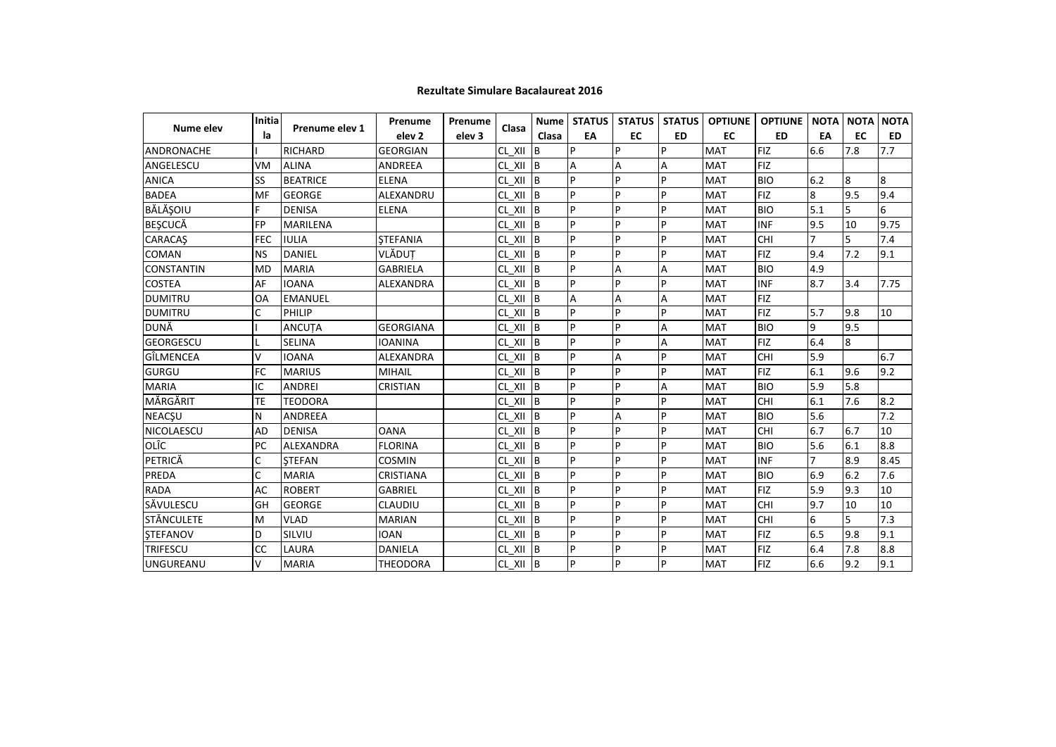| Nume elev         | Initia     | Prenume elev 1   | Prenume           | Prenume           | Clasa                  | <b>Nume</b> | <b>STATUS</b> | <b>STATUS</b> | <b>STATUS</b>  | <b>OPTIUNE</b> | <b>OPTIUNE</b> | <b>NOTA</b>      | <b>NOTA</b> | <b>NOTA</b> |
|-------------------|------------|------------------|-------------------|-------------------|------------------------|-------------|---------------|---------------|----------------|----------------|----------------|------------------|-------------|-------------|
|                   | la         |                  | elev <sub>2</sub> | elev <sub>3</sub> |                        | Clasa       | EA            | EC            | <b>ED</b>      | <b>EC</b>      | <b>ED</b>      | EA               | <b>EC</b>   | <b>ED</b>   |
| <b>ANDRONACHE</b> |            | <b>RICHARD</b>   | <b>GEORGIAN</b>   |                   | CL XII                 | <b>B</b>    | p             | P             | P              | <b>MAT</b>     | <b>FIZ</b>     | 6.6              | 7.8         | 7.7         |
| ANGELESCU         | VM         | <b>ALINA</b>     | <b>ANDREEA</b>    |                   | CL XII B               |             | A             | A             | A              | <b>MAT</b>     | <b>FIZ</b>     |                  |             |             |
| <b>ANICA</b>      | SS         | <b>BEATRICE</b>  | <b>ELENA</b>      |                   | $CL_$ $XII$ $B$        |             | p             | P             | $\overline{P}$ | <b>MAT</b>     | <b>BIO</b>     | 6.2              | 8           | 8           |
| <b>BADEA</b>      | MF         | <b>GEORGE</b>    | ALEXANDRU         |                   | CL XII                 | B           | P             | P             | P              | <b>MAT</b>     | <b>FIZ</b>     | $\boldsymbol{8}$ | 9.5         | 9.4         |
| BĂLĂȘOIU          | F          | <b>DENISA</b>    | <b>ELENA</b>      |                   | CL XII B               |             | P             | P             | P              | <b>MAT</b>     | <b>BIO</b>     | 5.1              | 5           | 6           |
| <b>BESCUCĂ</b>    | FP         | <b>MARILENA</b>  |                   |                   | $CL \times II$ B       |             | P             | P             | P              | <b>MAT</b>     | <b>INF</b>     | 9.5              | 10          | 9.75        |
| <b>CARACAS</b>    | <b>FEC</b> | <b>IULIA</b>     | <b>STEFANIA</b>   |                   | CL XII                 | B           | P             | P             | P              | <b>MAT</b>     | CHI            |                  | 5           | 7.4         |
| <b>COMAN</b>      | <b>NS</b>  | <b>DANIEL</b>    | VLĂDUȚ            |                   | CL XII B               |             | P             | P             | P              | <b>MAT</b>     | <b>FIZ</b>     | 9.4              | 7.2         | 9.1         |
| <b>CONSTANTIN</b> | <b>MD</b>  | <b>MARIA</b>     | <b>GABRIELA</b>   |                   | CL XII                 | <b>B</b>    | P             | Α             | Α              | <b>MAT</b>     | <b>BIO</b>     | 4.9              |             |             |
| <b>COSTEA</b>     | AF         | <b>IOANA</b>     | ALEXANDRA         |                   | CL_XII B               |             | P             | P             | P              | <b>MAT</b>     | <b>INF</b>     | 8.7              | 3.4         | 7.75        |
| <b>DUMITRU</b>    | OA         | <b>EMANUEL</b>   |                   |                   | $CL \quad XII \quad B$ |             | Α             | Α             | A              | <b>MAT</b>     | <b>FIZ</b>     |                  |             |             |
| <b>DUMITRU</b>    | C          | PHILIP           |                   |                   | CL XII                 | B           | p             | P             | <b>P</b>       | <b>MAT</b>     | <b>FIZ</b>     | 5.7              | 9.8         | 10          |
| DUNĂ              |            | <b>ANCUTA</b>    | <b>GEORGIANA</b>  |                   | CL XII                 | B           | P             | P             | A              | <b>MAT</b>     | <b>BIO</b>     | 9                | 9.5         |             |
| <b>GEORGESCU</b>  |            | <b>SELINA</b>    | <b>IOANINA</b>    |                   | CL XII                 | B           | P             | P             | Α              | <b>MAT</b>     | <b>FIZ</b>     | 6.4              | 8           |             |
| GÎLMENCEA         | v          | <b>IOANA</b>     | ALEXANDRA         |                   | CL_XII                 | B           | P             | Α             | P              | <b>MAT</b>     | CHI            | 5.9              |             | 6.7         |
| <b>GURGU</b>      | <b>FC</b>  | <b>MARIUS</b>    | <b>MIHAIL</b>     |                   | $CL \quad XII \quad B$ |             | P             | P             | P              | <b>MAT</b>     | <b>FIZ</b>     | 6.1              | 9.6         | 9.2         |
| <b>MARIA</b>      | IC         | <b>ANDREI</b>    | <b>CRISTIAN</b>   |                   | CL XII B               |             | p             | P             | $\overline{A}$ | <b>MAT</b>     | <b>BIO</b>     | 5.9              | 5.8         |             |
| MĂRGĂRIT          | TE         | <b>TEODORA</b>   |                   |                   | $CL \quad XII \quad B$ |             | P             | P             | P              | <b>MAT</b>     | CHI            | 6.1              | 7.6         | 8.2         |
| <b>NEACŞU</b>     | N          | <b>ANDREEA</b>   |                   |                   | $CL \quad XII \quad B$ |             | P             | A             | P              | <b>MAT</b>     | <b>BIO</b>     | 5.6              |             | 7.2         |
| NICOLAESCU        | <b>AD</b>  | <b>DENISA</b>    | <b>OANA</b>       |                   | CL XII                 | lв          | P             | P             | P              | <b>MAT</b>     | CHI            | 6.7              | 6.7         | 10          |
| OLÎC              | PC         | <b>ALEXANDRA</b> | <b>FLORINA</b>    |                   | $CL$ XII $B$           |             | P             | P             | P              | <b>MAT</b>     | <b>BIO</b>     | 5.6              | 6.1         | 8.8         |
| PETRICĂ           | C          | <b>STEFAN</b>    | <b>COSMIN</b>     |                   | CL XII B               |             | p             | P             | P              | <b>MAT</b>     | <b>INF</b>     |                  | 8.9         | 8.45        |
| PREDA             | Ċ          | <b>MARIA</b>     | CRISTIANA         |                   | CL_XII B               |             | P             | P             | P              | <b>MAT</b>     | <b>BIO</b>     | 6.9              | 6.2         | 7.6         |
| <b>RADA</b>       | AC         | <b>ROBERT</b>    | <b>GABRIEL</b>    |                   | CL XII B               |             | P             | P             | P              | <b>MAT</b>     | <b>FIZ</b>     | 5.9              | 9.3         | 10          |
| SĂVULESCU         | GH         | <b>GEORGE</b>    | <b>CLAUDIU</b>    |                   | CL XII                 | <b>IB</b>   | P             | P             | P              | <b>MAT</b>     | CHI            | 9.7              | 10          | 10          |
| <b>STĂNCULETE</b> | M          | <b>VLAD</b>      | <b>MARIAN</b>     |                   | CL XII                 | B           | P             | P             | P              | <b>MAT</b>     | CHI            | 6                | 5           | 7.3         |
| <b>STEFANOV</b>   | D          | SILVIU           | <b>IOAN</b>       |                   | CL_XII B               |             | P             | P             | P              | <b>MAT</b>     | <b>FIZ</b>     | 6.5              | 9.8         | 9.1         |
| <b>TRIFESCU</b>   | CC         | LAURA            | <b>DANIELA</b>    |                   | $CL$ XII $B$           |             | P             | P             | P              | <b>MAT</b>     | <b>FIZ</b>     | 6.4              | 7.8         | 8.8         |
| <b>UNGUREANU</b>  | V          | <b>MARIA</b>     | <b>THEODORA</b>   |                   | CL_XII B               |             | P             | P             | P              | <b>MAT</b>     | <b>FIZ</b>     | 6.6              | 9.2         | 9.1         |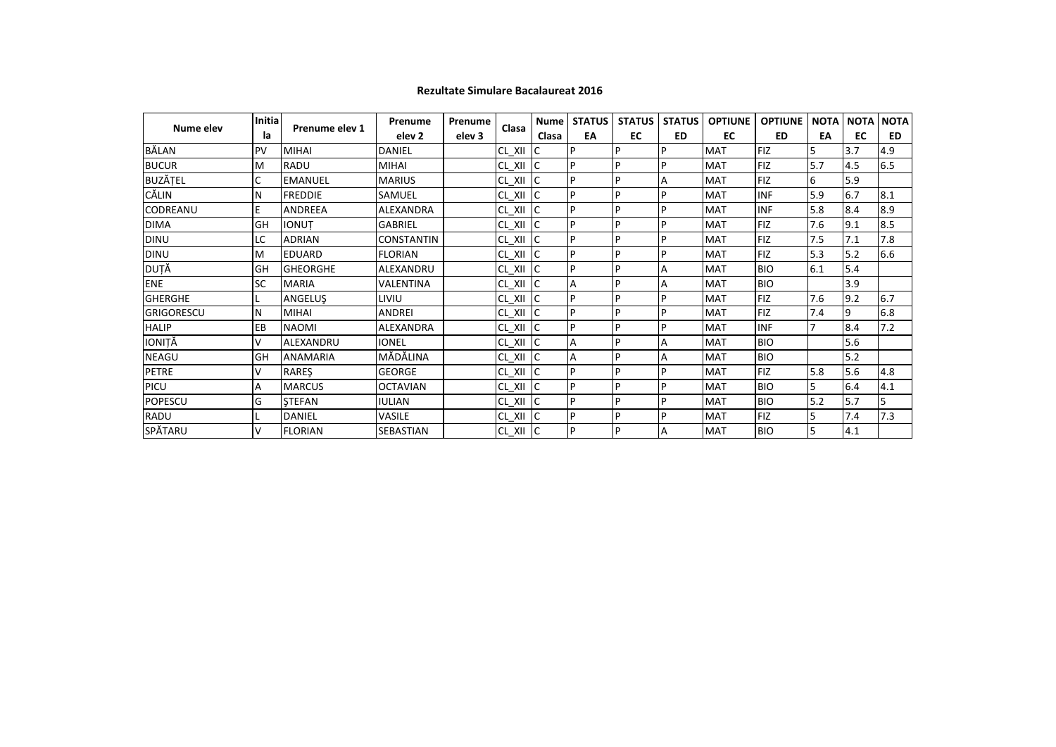|                   | <b>Initia</b> |                 | Prenume           | Prenume           | Clasa         | <b>Nume</b>   | <b>STATUS</b> | <b>STATUS</b> | <b>STATUS</b>  | <b>OPTIUNE</b> | <b>OPTIUNE</b> | <b>NOTA</b> | <b>NOTA</b> | <b>NOTA</b> |
|-------------------|---------------|-----------------|-------------------|-------------------|---------------|---------------|---------------|---------------|----------------|----------------|----------------|-------------|-------------|-------------|
| Nume elev         | la            | Prenume elev 1  | elev <sub>2</sub> | elev <sub>3</sub> |               | Clasa         | EA            | EC            | <b>ED</b>      | EC             | <b>ED</b>      | EA          | EC          | <b>ED</b>   |
| BĂLAN             | PV            | <b>MIHAI</b>    | DANIEL            |                   | CL XII        | ТC            | P             | P             | P              | <b>MAT</b>     | <b>FIZ</b>     | 5           | 3.7         | 4.9         |
| <b>BUCUR</b>      | M             | <b>RADU</b>     | <b>MIHAI</b>      |                   | CL XII        | IC.           | P             | P             | P              | <b>MAT</b>     | <b>FIZ</b>     | 5.7         | 4.5         | 6.5         |
| <b>BUZĂȚEL</b>    | C             | <b>EMANUEL</b>  | <b>MARIUS</b>     |                   | $CL_$ XII     | Ic.           | D             | P             | $\overline{A}$ | <b>MAT</b>     | <b>FIZ</b>     | 6           | 5.9         |             |
| CĂLIN             | N             | <b>FREDDIE</b>  | SAMUEL            |                   | CL XII        | lC.           | P             | P             | P              | <b>MAT</b>     | <b>INF</b>     | 5.9         | 6.7         | 8.1         |
| <b>CODREANU</b>   |               | <b>ANDREEA</b>  | ALEXANDRA         |                   | $CL_$ XII $C$ |               | P             | P             | P              | <b>MAT</b>     | <b>INF</b>     | 5.8         | 8.4         | 8.9         |
| <b>DIMA</b>       | GH            | <b>IONUT</b>    | GABRIEL           |                   | CL_XII        | <b>IC</b>     | D             | P             | P              | <b>MAT</b>     | <b>FIZ</b>     | 7.6         | 9.1         | 8.5         |
| <b>DINU</b>       | LC            | <b>ADRIAN</b>   | <b>CONSTANTIN</b> |                   | $CL_XII$ C    |               | Þ             | P             | P              | <b>MAT</b>     | <b>FIZ</b>     | 7.5         | 7.1         | 7.8         |
| <b>DINU</b>       | M             | <b>EDUARD</b>   | <b>FLORIAN</b>    |                   | $CL_$ $XII$   | lc.           | P             | P             | P              | <b>MAT</b>     | <b>FIZ</b>     | 5.3         | 5.2         | 6.6         |
| DUȚĂ              | GH            | <b>GHEORGHE</b> | ALEXANDRU         |                   | $CL_$ $XII$   | <b>IC</b>     | D             | P             | A              | <b>MAT</b>     | <b>BIO</b>     | 6.1         | 5.4         |             |
| ENE               | <b>SC</b>     | <b>MARIA</b>    | VALENTINA         |                   | CL_XII C      |               | A             | P             | A              | <b>MAT</b>     | <b>BIO</b>     |             | 3.9         |             |
| <b>GHERGHE</b>    |               | ANGELUŞ         | liviu             |                   | CL_XII        | Ic.           | P             | P             | P              | <b>MAT</b>     | <b>FIZ</b>     | 7.6         | 9.2         | 6.7         |
| <b>GRIGORESCU</b> | N             | <b>MIHAI</b>    | <b>ANDREI</b>     |                   | CL_XII        | IC.           | P             | P             | P              | <b>MAT</b>     | <b>FIZ</b>     | 7.4         | 9           | 6.8         |
| <b>HALIP</b>      | EB            | <b>NAOMI</b>    | ALEXANDRA         |                   | $CL_XII$ C    |               | Þ             | P             | P              | <b>MAT</b>     | <b>INF</b>     |             | 8.4         | 7.2         |
| IONIȚĂ            | v             | ALEXANDRU       | <b>IONEL</b>      |                   | CL XII        | <b>IC</b>     | A             | P             | $\overline{A}$ | <b>MAT</b>     | <b>BIO</b>     |             | 5.6         |             |
| <b>NEAGU</b>      | GH            | <b>ANAMARIA</b> | MĂDĂLINA          |                   | $CL_$ $XII$   | -lC           | A             | P             | A              | <b>MAT</b>     | <b>BIO</b>     |             | 5.2         |             |
| <b>PETRE</b>      | v             | <b>RARES</b>    | <b>GEORGE</b>     |                   | $CL_$ XII     | <b>IC</b>     | D             | P             | P              | <b>MAT</b>     | <b>FIZ</b>     | 5.8         | 5.6         | 4.8         |
| PICU              | А             | <b>MARCUS</b>   | <b>OCTAVIAN</b>   |                   | CL XII        | <sub>IC</sub> | D             | P             | $\mathsf{P}$   | <b>MAT</b>     | <b>BIO</b>     | 5           | 6.4         | 4.1         |
| POPESCU           | G             | <b>STEFAN</b>   | <b>IULIAN</b>     |                   | $CL_$ XII     | lC.           | P             | P             | P              | <b>MAT</b>     | <b>BIO</b>     | 5.2         | 5.7         | 5           |
| RADU              |               | <b>DANIEL</b>   | <b>VASILE</b>     |                   | $CL_$ XII     | <b>IC</b>     | P             | P             | P              | <b>MAT</b>     | <b>FIZ</b>     |             | 7.4         | 7.3         |
| SPĂTARU           |               | <b>FLORIAN</b>  | SEBASTIAN         |                   | $CL_XII$ C    |               | P             | P             | $\overline{A}$ | <b>MAT</b>     | <b>BIO</b>     | 5           | 4.1         |             |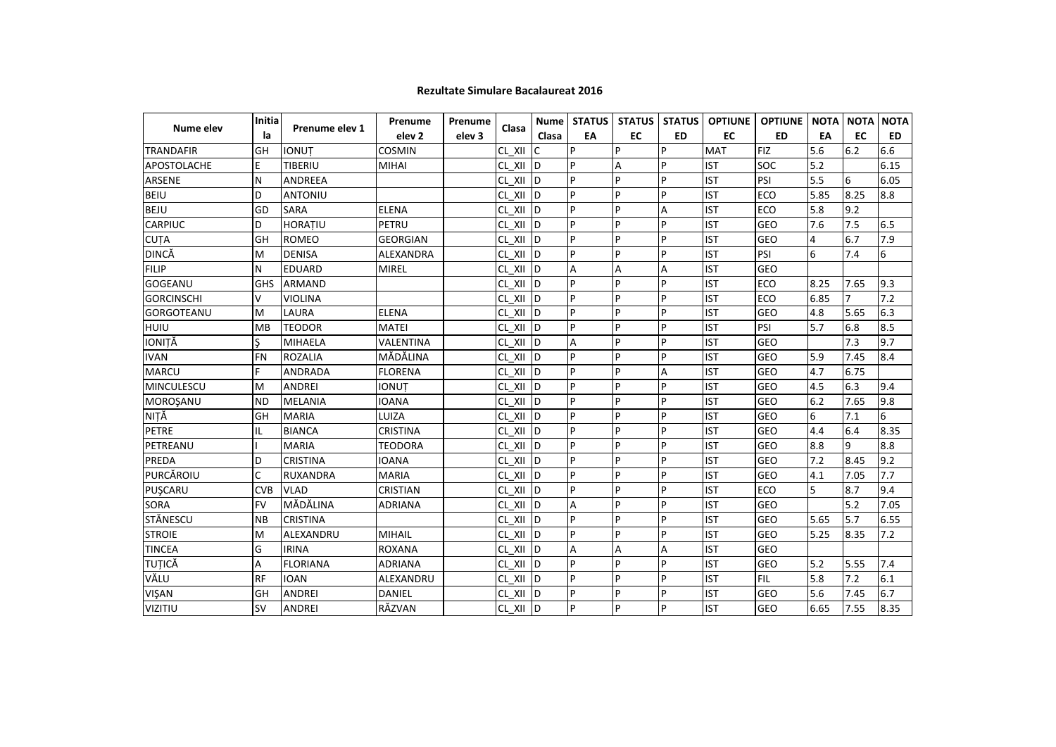|                    | Initia     |                 | Prenume           | Prenume           |                  | <b>Nume</b>    | <b>STATUS</b> | <b>STATUS</b> | <b>STATUS</b>  | <b>OPTIUNE</b> | <b>OPTIUNE</b> | <b>NOTA</b> | <b>NOTA</b>    | <b>NOTA</b>      |
|--------------------|------------|-----------------|-------------------|-------------------|------------------|----------------|---------------|---------------|----------------|----------------|----------------|-------------|----------------|------------------|
| Nume elev          | la         | Prenume elev 1  | elev <sub>2</sub> | elev <sub>3</sub> | Clasa            | Clasa          | EA            | <b>EC</b>     | <b>ED</b>      | <b>EC</b>      | <b>ED</b>      | EA          | EC             | <b>ED</b>        |
| <b>TRANDAFIR</b>   | GH         | <b>IONUT</b>    | <b>COSMIN</b>     |                   | CL XII           | C              | P             | Þ             | $\overline{P}$ | <b>MAT</b>     | <b>FIZ</b>     | 5.6         | 6.2            | 6.6              |
| <b>APOSTOLACHE</b> | E          | TIBERIU         | MIHAI             |                   | CL XII           | <b>ID</b>      | P             | A             | $\overline{P}$ | <b>IST</b>     | SOC            | 5.2         |                | 6.15             |
| ARSENE             | N          | ANDREEA         |                   |                   | CL XII           | <b>ID</b>      | P             | P             | $\overline{P}$ | <b>IST</b>     | PSI            | 5.5         | 6              | 6.05             |
| <b>BEIU</b>        | D          | ANTONIU         |                   |                   | CL XII           | <b>ID</b>      | P             | P             | <b>P</b>       | <b>IST</b>     | <b>ECO</b>     | 5.85        | 8.25           | 8.8              |
| <b>BEJU</b>        | GD         | <b>SARA</b>     | <b>ELENA</b>      |                   | CL XII           | ID             | P             | P             | A              | <b>IST</b>     | ECO            | 5.8         | 9.2            |                  |
| <b>CARPIUC</b>     | D          | HORAȚIU         | PETRU             |                   | CL XII           | <b>ID</b>      | P             | P             | P              | <b>IST</b>     | GEO            | 7.6         | 7.5            | 6.5              |
| <b>CUTA</b>        | GH         | <b>ROMEO</b>    | <b>GEORGIAN</b>   |                   | CL_XII D         |                | P             | Þ             | P              | <b>IST</b>     | GEO            | 4           | 6.7            | 7.9              |
| DINCĂ              | M          | <b>DENISA</b>   | ALEXANDRA         |                   | CL XII           | $\overline{D}$ | P             | Þ             | $\overline{P}$ | <b>IST</b>     | PSI            | 6           | 7.4            | $\boldsymbol{6}$ |
| <b>FILIP</b>       | N          | <b>EDUARD</b>   | <b>MIREL</b>      |                   | CL XII           | <b>ID</b>      | A             | Α             | A              | <b>IST</b>     | <b>GEO</b>     |             |                |                  |
| <b>GOGEANU</b>     | <b>GHS</b> | <b>ARMAND</b>   |                   |                   | CL XII           | ID             | P             | P             | <b>P</b>       | <b>IST</b>     | ECO            | 8.25        | 7.65           | 9.3              |
| <b>GORCINSCHI</b>  | v          | <b>VIOLINA</b>  |                   |                   | CL XII           | <b>ID</b>      | P             | P             | $\overline{P}$ | <b>IST</b>     | ECO            | 6.85        | $\overline{7}$ | 7.2              |
| <b>GORGOTEANU</b>  | M          | LAURA           | <b>ELENA</b>      |                   | CL XII           | <b>ID</b>      | P             | P             | $\overline{P}$ | <b>IST</b>     | GEO            | 4.8         | 5.65           | 6.3              |
| <b>HUIU</b>        | <b>MB</b>  | <b>TEODOR</b>   | <b>MATEI</b>      |                   | CL XII           | <b>ID</b>      | P             | P             | <b>P</b>       | <b>IST</b>     | PSI            | 5.7         | 6.8            | 8.5              |
| IONIȚĂ             | S          | <b>MIHAELA</b>  | VALENTINA         |                   | CL XII           | ID             | A             | P             | P              | <b>IST</b>     | <b>GEO</b>     |             | 7.3            | 9.7              |
| <b>IVAN</b>        | <b>FN</b>  | <b>ROZALIA</b>  | MĂDĂLINA          |                   | CL XII           | ID             | P             | P             | <b>P</b>       | <b>IST</b>     | GEO            | 5.9         | 7.45           | 8.4              |
| <b>MARCU</b>       | F.         | <b>ANDRADA</b>  | <b>FLORENA</b>    |                   | CL XII           | <b>ID</b>      | P             | P             | А              | <b>IST</b>     | <b>GEO</b>     | 4.7         | 6.75           |                  |
| <b>MINCULESCU</b>  | M          | <b>ANDREI</b>   | <b>IONUT</b>      |                   | $CL_$ $XII$      | $\overline{D}$ | P             | Þ             | P              | <b>IST</b>     | GEO            | 4.5         | 6.3            | 9.4              |
| MOROŞANU           | <b>ND</b>  | <b>MELANIA</b>  | <b>IOANA</b>      |                   | CL XII           | <b>ID</b>      | P             | P             | $\overline{P}$ | <b>IST</b>     | GEO            | 6.2         | 7.65           | 9.8              |
| NIȚĂ               | GH         | <b>MARIA</b>    | LUIZA             |                   | CL XII           | <b>ID</b>      | P             | P             | $\overline{P}$ | <b>IST</b>     | <b>GEO</b>     | 6           | 7.1            | 6                |
| <b>PETRE</b>       | IL         | <b>BIANCA</b>   | <b>CRISTINA</b>   |                   | CL XII           | lD.            | P             | P             | P              | <b>IST</b>     | <b>GEO</b>     | 4.4         | 6.4            | 8.35             |
| PETREANU           |            | <b>MARIA</b>    | <b>TEODORA</b>    |                   | CL XII           | <b>ID</b>      | p             | Þ             | $\overline{P}$ | <b>IST</b>     | <b>GEO</b>     | 8.8         | $\overline{9}$ | 8.8              |
| PREDA              | D          | <b>CRISTINA</b> | <b>IOANA</b>      |                   | CL XII           | ID             | P             | Þ             | $\overline{P}$ | <b>IST</b>     | GEO            | 7.2         | 8.45           | 9.2              |
| PURCĂROIU          | C          | <b>RUXANDRA</b> | <b>MARIA</b>      |                   | CL XII           | <b>ID</b>      | P             | P             | $\overline{P}$ | <b>IST</b>     | GEO            | 4.1         | 7.05           | 7.7              |
| PUŞCARU            | <b>CVB</b> | <b>VLAD</b>     | <b>CRISTIAN</b>   |                   | CL XII           | <b>ID</b>      | P             | P             | <b>P</b>       | <b>IST</b>     | ECO            | 5           | 8.7            | 9.4              |
| <b>SORA</b>        | <b>FV</b>  | MĂDĂLINA        | <b>ADRIANA</b>    |                   | CL XII           | lD.            | Α             | P             | <b>P</b>       | <b>IST</b>     | GEO            |             | 5.2            | 7.05             |
| <b>STÄNESCU</b>    | <b>NB</b>  | <b>CRISTINA</b> |                   |                   | CL XII           | <b>ID</b>      | P             | P             | $\overline{P}$ | <b>IST</b>     | <b>GEO</b>     | 5.65        | 5.7            | 6.55             |
| <b>STROIE</b>      | M          | ALEXANDRU       | <b>MIHAIL</b>     |                   | CL XII           | <b>ID</b>      | P             | Þ             | $\overline{P}$ | <b>IST</b>     | GEO            | 5.25        | 8.35           | 7.2              |
| <b>TINCEA</b>      | G          | <b>IRINA</b>    | <b>ROXANA</b>     |                   | CL XII           | <b>ID</b>      | А             | Α             | A              | <b>IST</b>     | GEO            |             |                |                  |
| <b>TUȚICĂ</b>      | Α          | <b>FLORIANA</b> | <b>ADRIANA</b>    |                   | CL XII           | <b>D</b>       | P             | P             | P              | <b>IST</b>     | GEO            | 5.2         | 5.55           | 7.4              |
| VĂLU               | <b>RF</b>  | <b>IOAN</b>     | ALEXANDRU         |                   | CL XII           | ID             | P             | P             | P              | <b>IST</b>     | <b>FIL</b>     | 5.8         | 7.2            | 6.1              |
| VIŞAN              | GH         | <b>ANDREI</b>   | DANIEL            |                   | $CL_$ $XII$      | <b>ID</b>      | P             | Þ             | $\overline{P}$ | <b>IST</b>     | GEO            | 5.6         | 7.45           | 6.7              |
| <b>VIZITIU</b>     | <b>SV</b>  | <b>ANDREI</b>   | RĂZVAN            |                   | $CL \times II$ D |                | P             | P             | $\overline{P}$ | <b>IST</b>     | GEO            | 6.65        | 7.55           | 8.35             |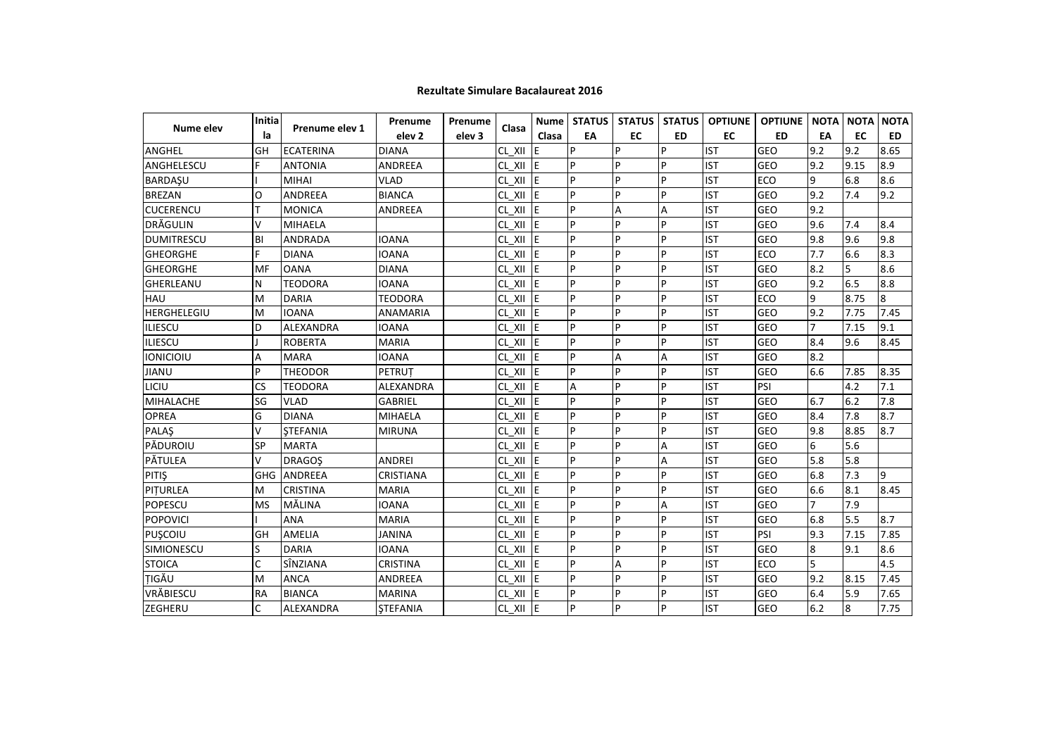|                    | Initia    |                  | Prenume           | Prenume           |                 | <b>Nume</b> | <b>STATUS</b> | STATUS    | <b>STATUS</b>  | <b>OPTIUNE</b> | <b>OPTIUNE</b> | <b>NOTA</b>    | <b>NOTA</b> | <b>NOTA</b> |
|--------------------|-----------|------------------|-------------------|-------------------|-----------------|-------------|---------------|-----------|----------------|----------------|----------------|----------------|-------------|-------------|
| Nume elev          | la        | Prenume elev 1   | elev <sub>2</sub> | elev <sub>3</sub> | Clasa           | Clasa       | EA            | <b>EC</b> | <b>ED</b>      | <b>EC</b>      | <b>ED</b>      | EA             | <b>EC</b>   | <b>ED</b>   |
| ANGHEL             | GH        | <b>ECATERINA</b> | <b>DIANA</b>      |                   | CL XII          | ΙE          | P             | Þ         | P              | <b>IST</b>     | GEO            | 9.2            | 9.2         | 8.65        |
| ANGHELESCU         | F         | <b>ANTONIA</b>   | ANDREEA           |                   | $CL_$ XII $E$   |             | P             | Þ         | p              | <b>IST</b>     | GEO            | 9.2            | 9.15        | 8.9         |
| <b>BARDAŞU</b>     |           | MIHAI            | <b>VLAD</b>       |                   | CL XII          | <b>IE</b>   | P             | P         | P              | <b>IST</b>     | ECO            | 9              | 6.8         | 8.6         |
| <b>BREZAN</b>      | O         | <b>ANDREEA</b>   | <b>BIANCA</b>     |                   | CL XII          | IE.         | P             | P         | P              | <b>IST</b>     | GEO            | 9.2            | 7.4         | 9.2         |
| <b>CUCERENCU</b>   | т         | <b>MONICA</b>    | <b>ANDREEA</b>    |                   | CL XII          | IF.         | P             | Α         | A              | <b>IST</b>     | GEO            | 9.2            |             |             |
| DRĂGULIN           | v         | <b>MIHAELA</b>   |                   |                   | CL XII $E$      |             | P             | P         | $\overline{P}$ | <b>IST</b>     | GEO            | 9.6            | 7.4         | 8.4         |
| <b>DUMITRESCU</b>  | BI        | <b>ANDRADA</b>   | <b>IOANA</b>      |                   | $CL_$ $XII$ $E$ |             | P             | P         | $\overline{P}$ | <b>IST</b>     | GEO            | 9.8            | 9.6         | 9.8         |
| <b>GHEORGHE</b>    | F         | <b>DIANA</b>     | <b>IOANA</b>      |                   | $CL_$ $XII$ $E$ |             | P             | P         | p              | <b>IST</b>     | ECO            | 7.7            | 6.6         | 8.3         |
| <b>GHEORGHE</b>    | MF        | <b>OANA</b>      | <b>DIANA</b>      |                   | CL XII          | <b>IE</b>   | P             | P         | P              | <b>IST</b>     | <b>GEO</b>     | 8.2            | 5           | 8.6         |
| GHERLEANU          | N         | <b>TEODORA</b>   | <b>IOANA</b>      |                   | CL XII          | ΙE          | P             | P         | P              | <b>IST</b>     | GEO            | 9.2            | 6.5         | 8.8         |
| HAU                | M         | <b>DARIA</b>     | <b>TEODORA</b>    |                   | CL XII          | IE.         | P             | P         | P              | <b>IST</b>     | ECO            | 9              | 8.75        | 8           |
| <b>HERGHELEGIU</b> | M         | <b>IOANA</b>     | ANAMARIA          |                   | $CL_$ $XII$     | <b>IE</b>   | P             | Þ         | P              | <b>IST</b>     | <b>GEO</b>     | 9.2            | 7.75        | 7.45        |
| ILIESCU            | D         | <b>ALEXANDRA</b> | <b>IOANA</b>      |                   | CL XII          | ΙE          | P             | P         | P              | <b>IST</b>     | GEO            |                | 7.15        | 9.1         |
| ILIESCU            |           | <b>ROBERTA</b>   | <b>MARIA</b>      |                   | CL XII          | IE.         | P             | P         | P              | <b>IST</b>     | <b>GEO</b>     | 8.4            | 9.6         | 8.45        |
| IONICIOIU          | A         | <b>MARA</b>      | <b>IOANA</b>      |                   | CL XII          | ΙE          | P             | Α         | A              | <b>IST</b>     | GEO            | 8.2            |             |             |
| <b>JIANU</b>       | P         | <b>THEODOR</b>   | PETRUT            |                   | CL XII          | IE.         | P             | P         | P              | <b>IST</b>     | GEO            | 6.6            | 7.85        | 8.35        |
| LICIU              | <b>CS</b> | <b>TEODORA</b>   | ALEXANDRA         |                   | $CL_$ $XII$ $E$ |             | Α             | P         | $\overline{P}$ | <b>IST</b>     | PSI            |                | 4.2         | 7.1         |
| MIHALACHE          | SG        | <b>VLAD</b>      | <b>GABRIEL</b>    |                   | $CL_$ $XII$ $E$ |             | P             | P         | p              | <b>IST</b>     | GEO            | 6.7            | 6.2         | 7.8         |
| <b>OPREA</b>       | G         | <b>DIANA</b>     | <b>MIHAELA</b>    |                   | CL XII          | <b>IE</b>   | P             | P         | P              | <b>IST</b>     | GEO            | 8.4            | 7.8         | 8.7         |
| <b>PALAS</b>       | V         | <b>STEFANIA</b>  | <b>MIRUNA</b>     |                   | CL XII          | ΙE          | P             | P         | P              | <b>IST</b>     | GEO            | 9.8            | 8.85        | 8.7         |
| PĂDUROIU           | SP        | <b>MARTA</b>     |                   |                   | CL XII          | ΙE          | P             | P         | A              | <b>IST</b>     | GEO            | 6              | 5.6         |             |
| PĂTULEA            | v         | <b>DRAGOS</b>    | <b>ANDREI</b>     |                   | CL XII E        |             | P             | Þ         | Α              | <b>IST</b>     | GEO            | 5.8            | 5.8         |             |
| PITIŞ              | GHG       | <b>ANDREEA</b>   | <b>CRISTIANA</b>  |                   | CL XII          | lE.         | P             | P         | $\mathsf{P}$   | <b>IST</b>     | GEO            | 6.8            | 7.3         | $\mathsf q$ |
| PITURLEA           | M         | <b>CRISTINA</b>  | <b>MARIA</b>      |                   | CL XII          | IE          | P             | P         | P              | <b>IST</b>     | GEO            | 6.6            | 8.1         | 8.45        |
| POPESCU            | <b>MS</b> | MĂLINA           | <b>IOANA</b>      |                   | CL XII          | ΙE          | P             | P         | Α              | <b>IST</b>     | GEO            | $\overline{7}$ | 7.9         |             |
| POPOVICI           |           | <b>ANA</b>       | <b>MARIA</b>      |                   | CL XII E        |             | P             | P         | P              | <b>IST</b>     | GEO            | 6.8            | 5.5         | 8.7         |
| PUSCOIU            | GH        | <b>AMELIA</b>    | <b>JANINA</b>     |                   | $CL_$ $XII$ $E$ |             | P             | P         | P              | <b>IST</b>     | PSI            | 9.3            | 7.15        | 7.85        |
| <b>SIMIONESCU</b>  | S         | <b>DARIA</b>     | <b>IOANA</b>      |                   | CL XII          | <b>IE</b>   | P             | P         | $\overline{P}$ | <b>IST</b>     | GEO            | 8              | 9.1         | 8.6         |
| <b>STOICA</b>      | C         | SÎNZIANA         | <b>CRISTINA</b>   |                   | CL XII          | ΙE          | P             | Α         | P              | <b>IST</b>     | ECO            | 5              |             | 4.5         |
| TIGĂU              | M         | <b>ANCA</b>      | ANDREEA           |                   | CL XII          | ΙE          | P             | P         | P              | <b>IST</b>     | <b>GEO</b>     | 9.2            | 8.15        | 7.45        |
| VRĂBIESCU          | <b>RA</b> | <b>BIANCA</b>    | <b>MARINA</b>     |                   | $CL_$ $XII$     | <b>IE</b>   | P             | P         | P              | <b>IST</b>     | GEO            | 6.4            | 5.9         | 7.65        |
| ZEGHERU            | C         | ALEXANDRA        | <b>STEFANIA</b>   |                   | $CL_$ XII $E$   |             | P             | P         | P              | <b>IST</b>     | GEO            | 6.2            | $\bf 8$     | 7.75        |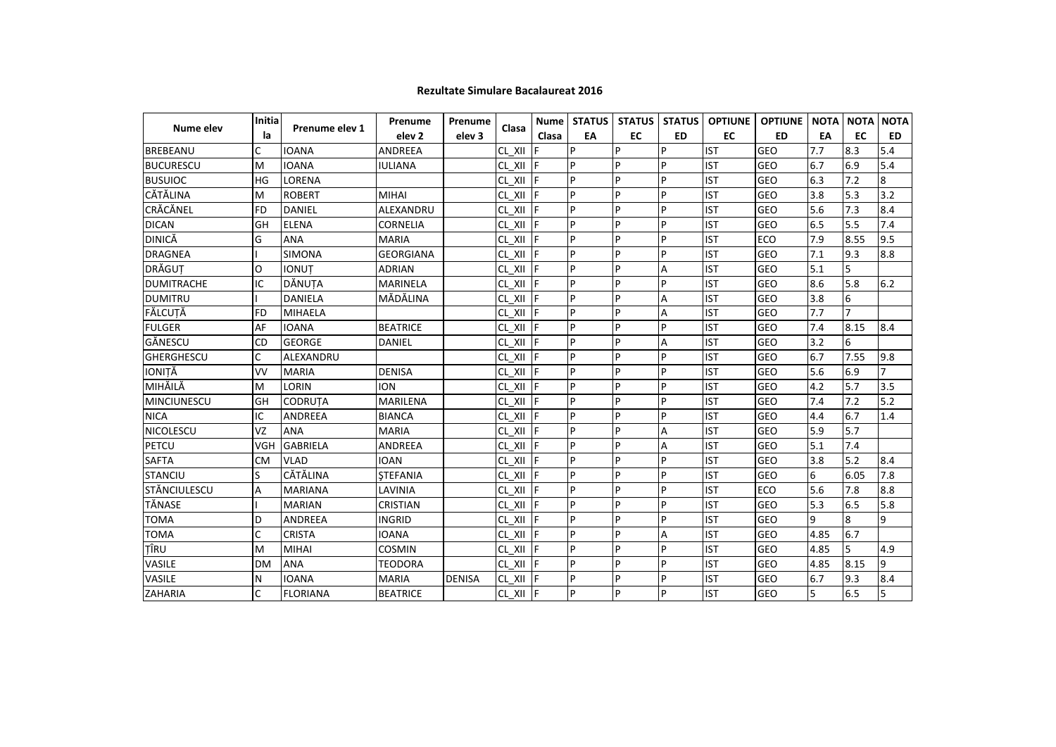| <b>Nume elev</b>    | Initia<br>la | Prenume elev 1  | Prenume           | Prenume           | Clasa              |       | Nume   STATUS | <b>STATUS</b> | <b>STATUS</b> | <b>OPTIUNE</b> | <b>OPTIUNE</b> | <b>NOTA</b> | <b>NOTA</b>    | <b>NOTA</b>    |
|---------------------|--------------|-----------------|-------------------|-------------------|--------------------|-------|---------------|---------------|---------------|----------------|----------------|-------------|----------------|----------------|
|                     |              |                 | elev <sub>2</sub> | elev <sub>3</sub> |                    | Clasa | EA            | <b>EC</b>     | <b>ED</b>     | <b>EC</b>      | <b>ED</b>      | EA          | EC             | <b>ED</b>      |
| <b>BREBEANU</b>     | C            | <b>IOANA</b>    | <b>ANDREEA</b>    |                   | CL XII             |       | p             | P             | Þ             | <b>IST</b>     | <b>GEO</b>     | 7.7         | 8.3            | 5.4            |
| <b>BUCURESCU</b>    | M            | <b>IOANA</b>    | <b>IULIANA</b>    |                   | CL XII             |       | P             | p             | Þ             | <b>IST</b>     | <b>GEO</b>     | 6.7         | 6.9            | 5.4            |
| <b>BUSUIOC</b>      | <b>HG</b>    | LORENA          |                   |                   | CL XII             |       | P             | <b>P</b>      | P             | <b>IST</b>     | GEO            | 6.3         | 7.2            | 8              |
| CĂTĂLINA            | M            | <b>ROBERT</b>   | <b>MIHAI</b>      |                   | CL XII             |       | P             | P             | Þ             | <b>IST</b>     | GEO            | 3.8         | 5.3            | 3.2            |
| CRĂCĂNEL            | <b>FD</b>    | <b>DANIEL</b>   | ALEXANDRU         |                   | CL XII             | IF    | P             | P             | P             | <b>IST</b>     | GEO            | 5.6         | 7.3            | 8.4            |
| <b>DICAN</b>        | GH           | <b>ELENA</b>    | <b>CORNELIA</b>   |                   | CL XII             |       | P             | <b>P</b>      | Þ             | <b>IST</b>     | <b>GEO</b>     | 6.5         | 5.5            | 7.4            |
| <b>DINICĂ</b>       | G            | <b>ANA</b>      | <b>MARIA</b>      |                   | CL XII             | F     | P             | <b>P</b>      | P             | <b>IST</b>     | <b>ECO</b>     | 7.9         | 8.55           | 9.5            |
| <b>DRAGNEA</b>      |              | <b>SIMONA</b>   | <b>GEORGIANA</b>  |                   | CL XII             |       | P             | <b>p</b>      | Þ             | <b>IST</b>     | <b>GEO</b>     | 7.1         | 9.3            | 8.8            |
| DRĂGUT              | $\Omega$     | <b>IONUT</b>    | <b>ADRIAN</b>     |                   | CL XII             |       | P             | <b>P</b>      | A             | <b>IST</b>     | <b>GEO</b>     | 5.1         | 5              |                |
| <b>DUMITRACHE</b>   | IC           | DĂNUȚA          | <b>MARINELA</b>   |                   | CL XII             |       | P             | p             | D             | <b>IST</b>     | <b>GEO</b>     | 8.6         | 5.8            | 6.2            |
| <b>DUMITRU</b>      |              | <b>DANIELA</b>  | MĂDĂLINA          |                   | CL XII             |       | P             | <b>P</b>      | A             | <b>IST</b>     | GEO            | 3.8         | 6              |                |
| FĂLCUTĂ             | <b>FD</b>    | <b>MIHAELA</b>  |                   |                   | CL XII             |       | P             | <b>P</b>      | Α             | <b>IST</b>     | <b>GEO</b>     | 7.7         | $\overline{7}$ |                |
| <b>FULGER</b>       | AF           | <b>IOANA</b>    | <b>BEATRICE</b>   |                   | CL XII             | IF    | P             | <b>P</b>      | P             | <b>IST</b>     | GEO            | 7.4         | 8.15           | 8.4            |
| GĂNESCU             | <b>CD</b>    | <b>GEORGE</b>   | DANIEL            |                   | CL XII             |       | P             | P             | Α             | <b>IST</b>     | <b>GEO</b>     | 3.2         | 6              |                |
| <b>GHERGHESCU</b>   | C            | ALEXANDRU       |                   |                   | CL XII             |       | P             | <b>P</b>      | Þ             | <b>IST</b>     | <b>GEO</b>     | 6.7         | 7.55           | 9.8            |
| IONITĂ              | VV           | <b>MARIA</b>    | <b>DENISA</b>     |                   | CL XII             |       | P             | <b>P</b>      | P             | <b>IST</b>     | GEO            | 5.6         | 6.9            | 7              |
| MIHĂILĂ             | M            | <b>LORIN</b>    | <b>ION</b>        |                   | CL XII             | IF    | P             | <b>P</b>      | P             | <b>IST</b>     | <b>GEO</b>     | 4.2         | 5.7            | 3.5            |
| <b>MINCIUNESCU</b>  | GH           | <b>CODRUTA</b>  | MARILENA          |                   | CL XII             |       | P             | <b>p</b>      | P             | <b>IST</b>     | <b>GEO</b>     | 7.4         | 7.2            | $5.2$          |
| <b>NICA</b>         | IC           | <b>ANDREEA</b>  | <b>BIANCA</b>     |                   | CL XII             |       | P             | <b>P</b>      | P             | <b>IST</b>     | GEO            | 4.4         | 6.7            | 1.4            |
| <b>NICOLESCU</b>    | VZ           | <b>ANA</b>      | <b>MARIA</b>      |                   | CL XII             |       | P             | P             | Α             | <b>IST</b>     | <b>GEO</b>     | 5.9         | 5.7            |                |
| PETCU               | <b>VGH</b>   | <b>GABRIELA</b> | <b>ANDREEA</b>    |                   | CL XII F           |       | P             | <b>P</b>      | A             | <b>IST</b>     | GEO            | 5.1         | 7.4            |                |
| <b>SAFTA</b>        | <b>CM</b>    | <b>VLAD</b>     | <b>IOAN</b>       |                   | CL XII             |       | P             | P             | P             | <b>IST</b>     | <b>GEO</b>     | 3.8         | 5.2            | 8.4            |
| <b>STANCIU</b>      | S            | CĂTĂLINA        | <b>STEFANIA</b>   |                   | CL XII             | IF    | P             | <b>P</b>      | P             | <b>IST</b>     | <b>GEO</b>     | 6           | 6.05           | 7.8            |
| <b>STĂNCIULESCU</b> | А            | <b>MARIANA</b>  | LAVINIA           |                   | CL XII F           |       | P             | <b>P</b>      | P             | <b>IST</b>     | <b>ECO</b>     | 5.6         | 7.8            | 8.8            |
| TĂNASE              |              | <b>MARIAN</b>   | <b>CRISTIAN</b>   |                   | CL XII             | IF    | P             | <b>P</b>      | P             | <b>IST</b>     | <b>GEO</b>     | 5.3         | 6.5            | 5.8            |
| <b>TOMA</b>         | D            | <b>ANDREEA</b>  | <b>INGRID</b>     |                   | CL_XII  F          |       | P             | <b>P</b>      | D             | <b>IST</b>     | <b>GEO</b>     | 9           | $\overline{8}$ | 9              |
| <b>TOMA</b>         | $\mathsf{C}$ | <b>CRISTA</b>   | <b>IOANA</b>      |                   | CL XII F           |       | P             | P             | Α             | <b>IST</b>     | GEO            | 4.85        | 6.7            |                |
| TÎRU                | M            | <b>MIHAI</b>    | <b>COSMIN</b>     |                   | CL XII F           |       | P             | <b>P</b>      | P             | <b>IST</b>     | <b>GEO</b>     | 4.85        | 5              | 4.9            |
| VASILE              | <b>DM</b>    | <b>ANA</b>      | <b>TEODORA</b>    |                   | $CL \quad XII$ $F$ |       | P             | P             | Þ             | <b>IST</b>     | <b>GEO</b>     | 4.85        | 8.15           | $\overline{9}$ |
| VASILE              | N            | <b>IOANA</b>    | <b>MARIA</b>      | <b>DENISA</b>     | CL XII F           |       | P             | P             | P             | <b>IST</b>     | <b>GEO</b>     | 6.7         | 9.3            | 8.4            |
| ZAHARIA             | C            | <b>FLORIANA</b> | <b>BEATRICE</b>   |                   | $CL_$ XII   F      |       | P             | P             | P             | <b>IST</b>     | <b>GEO</b>     | 5           | 6.5            | 5              |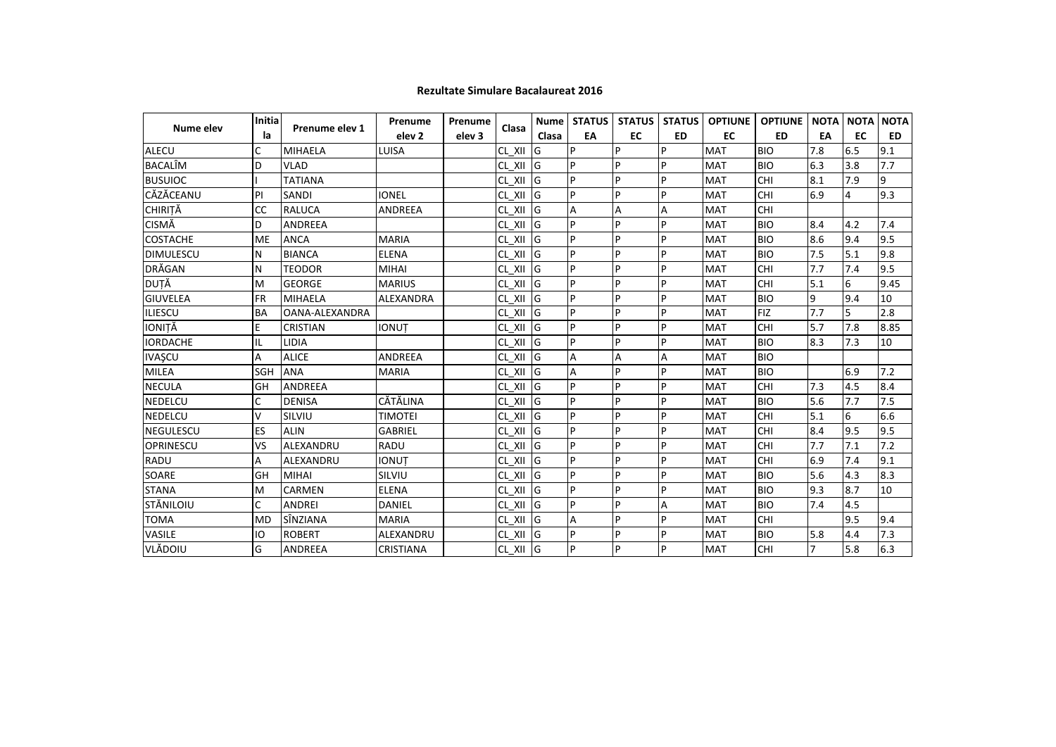| Nume elev        | Initia<br>la | Prenume elev 1  | Prenume           | Prenume | Clasa<br>elev <sub>3</sub> |       | Nume STATUS | <b>STATUS</b> | <b>STATUS</b> | <b>OPTIUNE</b> | <b>OPTIUNE</b> | <b>NOTA</b>    | <b>NOTA</b> | <b>NOTA</b> |
|------------------|--------------|-----------------|-------------------|---------|----------------------------|-------|-------------|---------------|---------------|----------------|----------------|----------------|-------------|-------------|
|                  |              |                 | elev <sub>2</sub> |         |                            | Clasa | EA          | EC            | <b>ED</b>     | EC             | <b>ED</b>      | EA             | EC          | ED.         |
| <b>ALECU</b>     | C            | <b>MIHAELA</b>  | LUISA             |         | CL XII                     | lG    | P           | P             | P             | <b>MAT</b>     | <b>BIO</b>     | 7.8            | 6.5         | 9.1         |
| <b>BACALIM</b>   | D            | <b>VLAD</b>     |                   |         | CL XII                     | lG    | P           | P             | P             | <b>MAT</b>     | <b>BIO</b>     | 6.3            | 3.8         | 7.7         |
| <b>BUSUIOC</b>   |              | <b>TATIANA</b>  |                   |         | CL XII                     | lG    | P           | P             | P             | <b>MAT</b>     | CHI            | 8.1            | 7.9         | 9           |
| CĂZĂCEANU        | PI           | SANDI           | <b>IONEL</b>      |         | CL XII                     | lG    | P           | P             | P             | <b>MAT</b>     | CHI            | 6.9            | 4           | 9.3         |
| <b>CHIRITĂ</b>   | CC           | <b>RALUCA</b>   | <b>ANDREEA</b>    |         | CL XII                     | lG    | Α           | A             | A             | <b>MAT</b>     | CHI            |                |             |             |
| <b>CISMĂ</b>     | D            | <b>ANDREEA</b>  |                   |         | CL XII                     | lG    | P           | P             | P             | <b>MAT</b>     | <b>BIO</b>     | 8.4            | 4.2         | 7.4         |
| <b>COSTACHE</b>  | ME           | <b>ANCA</b>     | <b>MARIA</b>      |         | CL XII                     | lG    | P           | P             | P             | <b>MAT</b>     | <b>BIO</b>     | 8.6            | 9.4         | 9.5         |
| <b>DIMULESCU</b> | N            | <b>BIANCA</b>   | <b>ELENA</b>      |         | CL XII                     | lG    | P           | P             | P             | <b>MAT</b>     | <b>BIO</b>     | 7.5            | 5.1         | 9.8         |
| DRĂGAN           | N            | <b>TEODOR</b>   | <b>MIHAI</b>      |         | CL XII                     | lG    | P           | P             | P             | <b>MAT</b>     | CHI            | 7.7            | 7.4         | 9.5         |
| DUȚĂ             | M            | <b>GEORGE</b>   | <b>MARIUS</b>     |         | $CL_$ $XII$                | lG    | P           | P             | P             | <b>MAT</b>     | CHI            | 5.1            | 6           | 9.45        |
| <b>GIUVELEA</b>  | FR           | <b>MIHAELA</b>  | <b>ALEXANDRA</b>  |         | CL XII                     | lG    | p           | P             | P             | <b>MAT</b>     | <b>BIO</b>     | 9              | 9.4         | 10          |
| <b>ILIESCU</b>   | <b>BA</b>    | OANA-ALEXANDRA  |                   |         | CL XII                     | lG    | p           | P             | P             | <b>MAT</b>     | <b>FIZ</b>     | 7.7            | 5           | 2.8         |
| IONITĂ           | E            | <b>CRISTIAN</b> | <b>IONUT</b>      |         | CL XII                     | lG    | P           | P             | P             | <b>MAT</b>     | CHI            | 5.7            | 7.8         | 8.85        |
| <b>IORDACHE</b>  | IL           | LIDIA           |                   |         | CL XII                     | G     | P           | P             | P             | <b>MAT</b>     | <b>BIO</b>     | 8.3            | 7.3         | 10          |
| <b>IVAŞCU</b>    | А            | <b>ALICE</b>    | <b>ANDREEA</b>    |         | CL XII                     | lG    | A           | Α             | Α             | <b>MAT</b>     | <b>BIO</b>     |                |             |             |
| <b>MILEA</b>     | SGH          | <b>ANA</b>      | <b>MARIA</b>      |         | CL XII                     | lG    | A           | P             | P             | <b>MAT</b>     | <b>BIO</b>     |                | 6.9         | 7.2         |
| <b>NECULA</b>    | GH           | <b>ANDREEA</b>  |                   |         | CL XII                     | lG    | P           | P             | P             | <b>MAT</b>     | CHI            | 7.3            | 4.5         | 8.4         |
| <b>NEDELCU</b>   | C            | <b>DENISA</b>   | CĂTĂLINA          |         | CL XII                     | lG    | P           | P             | P             | <b>MAT</b>     | <b>BIO</b>     | 5.6            | 7.7         | 7.5         |
| <b>NEDELCU</b>   | V            | SILVIU          | <b>TIMOTEI</b>    |         | CL XII                     | lG    | p           | P             | P             | <b>MAT</b>     | CHI            | 5.1            | 6           | 6.6         |
| <b>NEGULESCU</b> | ES           | <b>ALIN</b>     | <b>GABRIEL</b>    |         | CL XII                     | lG    | P           | P             | P             | <b>MAT</b>     | CHI            | 8.4            | 9.5         | 9.5         |
| <b>OPRINESCU</b> | VS           | ALEXANDRU       | <b>RADU</b>       |         | CL XII                     | lG    | p           | P             | P             | <b>MAT</b>     | CHI            | 7.7            | 7.1         | 7.2         |
| RADU             | А            | ALEXANDRU       | <b>IONUT</b>      |         | CL XII                     | lG    | P           | P             | P             | <b>MAT</b>     | CHI            | 6.9            | 7.4         | 9.1         |
| SOARE            | GH           | <b>MIHAI</b>    | SILVIU            |         | CL XII                     | G     | P           | P             | P             | <b>MAT</b>     | <b>BIO</b>     | 5.6            | 4.3         | 8.3         |
| <b>STANA</b>     | M            | CARMEN          | <b>ELENA</b>      |         | CL XII                     | lG    | P           | P             | P             | <b>MAT</b>     | <b>BIO</b>     | 9.3            | 8.7         | 10          |
| STĂNILOIU        | C            | <b>ANDREI</b>   | <b>DANIEL</b>     |         | CL XII                     | lG    | P           | P             | Α             | <b>MAT</b>     | <b>BIO</b>     | 7.4            | 4.5         |             |
| <b>TOMA</b>      | <b>MD</b>    | SÎNZIANA        | <b>MARIA</b>      |         | CL XII                     | G     | A           | P             | P             | <b>MAT</b>     | CHI            |                | 9.5         | 9.4         |
| VASILE           | IO           | <b>ROBERT</b>   | ALEXANDRU         |         | CL XII                     | G     | P           | P             | P             | <b>MAT</b>     | <b>BIO</b>     | 5.8            | 4.4         | 7.3         |
| VLĂDOIU          | G            | ANDREEA         | CRISTIANA         |         | $CL_XII$ G                 |       | P           | P             | P             | <b>MAT</b>     | <b>CHI</b>     | $\overline{7}$ | 5.8         | 6.3         |